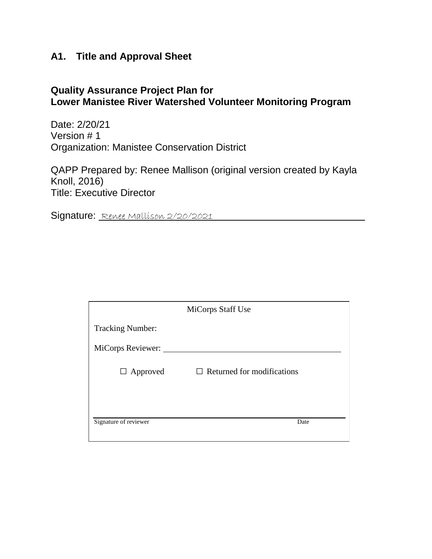# <span id="page-0-0"></span>**A1. Title and Approval Sheet**

# **Quality Assurance Project Plan for Lower Manistee River Watershed Volunteer Monitoring Program**

Date: 2/20/21 Version # 1 Organization: Manistee Conservation District

QAPP Prepared by: Renee Mallison (original version created by Kayla Knoll, 2016) Title: Executive Director

Signature: Renee Mallison 2/20/2021

|                         | MiCorps Staff Use                 |
|-------------------------|-----------------------------------|
| <b>Tracking Number:</b> |                                   |
| MiCorps Reviewer:       |                                   |
| $\Box$ Approved         | $\Box$ Returned for modifications |
| Signature of reviewer   | Date                              |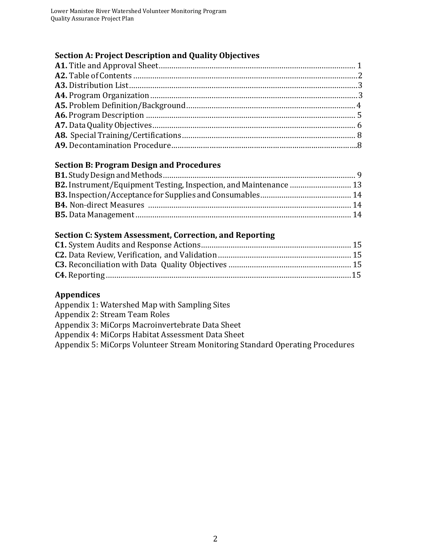## **Section A: Project Description and Quality Objectives**

## **Section B: Program Design and Procedures**

## **Section C: System Assessment, Correction, and Reporting**

## **Appendices**

Appendix 1: Watershed Map with Sampling Sites

Appendix 2: Stream Team Roles

Appendix 3: MiCorps Macroinvertebrate Data Sheet

Appendix 4: MiCorps Habitat Assessment Data Sheet

Appendix 5: MiCorps Volunteer Stream Monitoring Standard Operating Procedures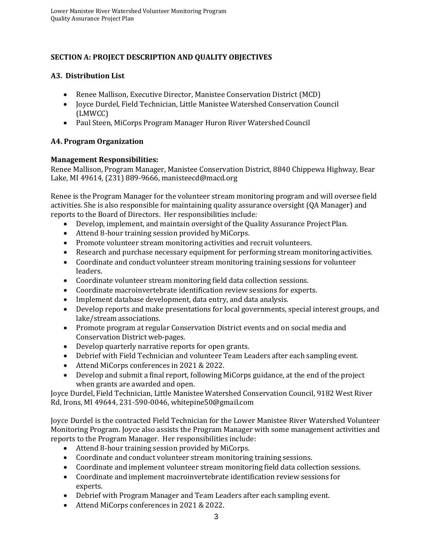## **SECTION A: PROJECT DESCRIPTION AND QUALITY OBJECTIVES**

## **A3. Distribution List**

- Renee Mallison, Executive Director, Manistee Conservation District (MCD)
- Joyce Durdel, Field Technician, Little Manistee Watershed Conservation Council (LMWCC)
- Paul Steen, MiCorps Program Manager Huron River Watershed Council

## **A4. Program Organization**

#### **Management Responsibilities:**

Renee Mallison, Program Manager, Manistee Conservation District, 8840 Chippewa Highway, Bear Lake, MI 49614, (231) 889-9666, [manisteecd@macd.org](mailto:manisteecd@macd.org)

Renee is the Program Manager for the volunteer stream monitoring program and will oversee field activities. She is also responsible for maintaining quality assurance oversight (QA Manager) and reports to the Board of Directors. Her responsibilities include:

- Develop, implement, and maintain oversight of the Quality Assurance Project Plan.
- Attend 8-hour training session provided by MiCorps.
- Promote volunteer stream monitoring activities and recruit volunteers.
- Research and purchase necessary equipment for performing stream monitoringactivities.
- Coordinate and conduct volunteer stream monitoring training sessions for volunteer leaders.
- Coordinate volunteer stream monitoring field data collection sessions.
- Coordinate macroinvertebrate identification review sessions for experts.
- Implement database development, data entry, and data analysis.
- Develop reports and make presentations for local governments, special interest groups, and lake/stream associations.
- Promote program at regular Conservation District events and on social media and Conservation District web-pages.
- Develop quarterly narrative reports for open grants.
- Debrief with Field Technician and volunteer Team Leaders after each sampling event.
- Attend MiCorps conferences in 2021 & 2022.
- Develop and submit a final report, following MiCorps guidance, at the end of the project when grants are awarded and open.

Joyce Durdel, Field Technician, Little Manistee Watershed Conservation Council, 9182 West River Rd, Irons, MI 49644, 231-590-0046, [whitepine50@gmail.com](mailto:whitepine50@gmail.com)

Joyce Durdel is the contracted Field Technician for the Lower Manistee River Watershed Volunteer Monitoring Program. Joyce also assists the Program Manager with some management activities and reports to the Program Manager. Her responsibilities include:

- Attend 8-hour training session provided by MiCorps.
- Coordinate and conduct volunteer stream monitoring training sessions.
- Coordinate and implement volunteer stream monitoring field data collection sessions.
- Coordinate and implement macroinvertebrate identification review sessions for experts.
- Debrief with Program Manager and Team Leaders after each sampling event.
- Attend MiCorps conferences in 2021 & 2022.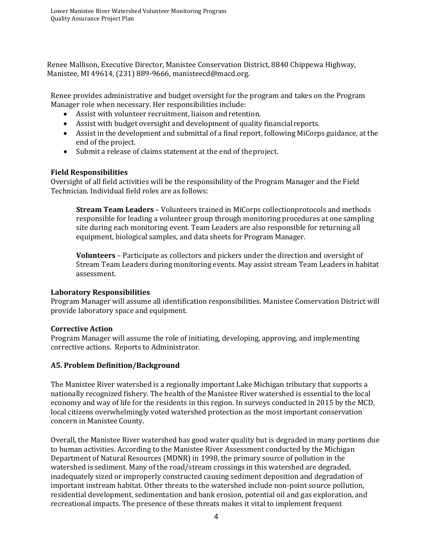Renee Mallison, Executive Director, Manistee Conservation District, 8840 Chippewa Highway, Manistee, MI 49614, (231) 889-9666[, manisteecd@macd.org.](mailto:manisteecd@macd.org)

Renee provides administrative and budget oversight for the program and takes on the Program Manager role when necessary. Her responsibilities include:

- Assist with volunteer recruitment, liaison andretention.
- Assist with budget oversight and development of quality financial reports.
- Assist in the development and submittal of a final report, following MiCorps guidance, at the end of the project.
- Submit a release of claims statement at the end of the project.

#### **Field Responsibilities**

Oversight of all field activities will be the responsibility of the Program Manager and the Field Technician. Individual field roles are as follows:

**Stream Team Leaders** – Volunteers trained in MiCorps collectionprotocols and methods responsible for leading a volunteer group through monitoring procedures at one sampling site during each monitoring event. Team Leaders are also responsible for returning all equipment, biological samples, and data sheets for Program Manager.

**Volunteers** – Participate as collectors and pickers under the direction and oversight of Stream Team Leaders during monitoring events. May assist stream Team Leaders in habitat assessment.

#### **Laboratory Responsibilities**

Program Manager will assume all identification responsibilities. Manistee Conservation District will provide laboratory space and equipment.

#### **Corrective Action**

Program Manager will assume the role of initiating, developing, approving, and implementing corrective actions. Reports to Administrator.

#### **A5. Problem Definition/Background**

The Manistee River watershed is a regionally important Lake Michigan tributary that supports a nationally recognized fishery. The health of the Manistee River watershed is essential to the local economy and way of life for the residents in this region. In surveys conducted in 2015 by the MCD, local citizens overwhelmingly voted watershed protection as the most important conservation concern in Manistee County.

Overall, the Manistee River watershed has good water quality but is degraded in many portions due to human activities. According to the Manistee River Assessment conducted by the Michigan Department of Natural Resources (MDNR) in 1998, the primary source of pollution in the watershed is sediment. Many of the road/stream crossings in this watershed are degraded, inadequately sized or improperly constructed causing sediment deposition and degradation of important instream habitat. Other threats to the watershed include non-point source pollution, residential development, sedimentation and bank erosion, potential oil and gas exploration, and recreational impacts. The presence of these threats makes it vital to implement frequent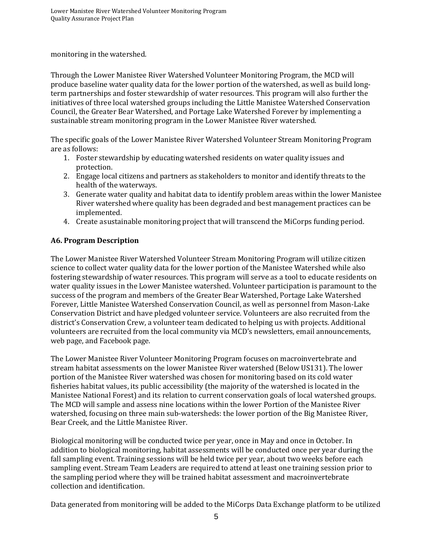monitoring in the watershed.

Through the Lower Manistee River Watershed Volunteer Monitoring Program, the MCD will produce baseline water quality data for the lower portion of the watershed, as well as build longterm partnerships and foster stewardship of water resources. This program will also further the initiatives of three local watershed groups including the Little Manistee Watershed Conservation Council, the Greater Bear Watershed, and Portage Lake Watershed Forever by implementing a sustainable stream monitoring program in the Lower Manistee River watershed.

The specific goals of the Lower Manistee River Watershed Volunteer Stream Monitoring Program are as follows:

- 1. Foster stewardship by educating watershed residents on water quality issues and protection.
- 2. Engage local citizens and partners as stakeholders to monitor and identify threats to the health of the waterways.
- 3. Generate water quality and habitat data to identify problem areas within the lower Manistee River watershed where quality has been degraded and best management practices can be implemented.
- 4. Create asustainable monitoring project that will transcend the MiCorps funding period.

#### **A6. Program Description**

The Lower Manistee River Watershed Volunteer Stream Monitoring Program will utilize citizen science to collect water quality data for the lower portion of the Manistee Watershed while also fostering stewardship of water resources. This program will serve as a tool to educate residents on water quality issues in the Lower Manistee watershed. Volunteer participation is paramount to the success of the program and members of the Greater Bear Watershed, Portage Lake Watershed Forever, Little Manistee Watershed Conservation Council, as well as personnel from Mason-Lake Conservation District and have pledged volunteer service. Volunteers are also recruited from the district's Conservation Crew, a volunteer team dedicated to helping us with projects. Additional volunteers are recruited from the local community via MCD's newsletters, email announcements, web page, and Facebook page.

The Lower Manistee River Volunteer Monitoring Program focuses on macroinvertebrate and stream habitat assessments on the lower Manistee River watershed (Below US131). The lower portion of the Manistee River watershed was chosen for monitoring based on its cold water fisheries habitat values, its public accessibility (the majority of the watershed is located in the Manistee National Forest) and its relation to current conservation goals of local watershed groups. The MCD will sample and assess nine locations within the lower Portion of the Manistee River watershed, focusing on three main sub-watersheds: the lower portion of the Big Manistee River, Bear Creek, and the Little Manistee River.

Biological monitoring will be conducted twice per year, once in May and once in October. In addition to biological monitoring, habitat assessments will be conducted once per year during the fall sampling event. Training sessions will be held twice per year, about two weeks before each sampling event. Stream Team Leaders are required to attend at least one training session prior to the sampling period where they will be trained habitat assessment and macroinvertebrate collection and identification.

Data generated from monitoring will be added to the MiCorps Data Exchange platform to be utilized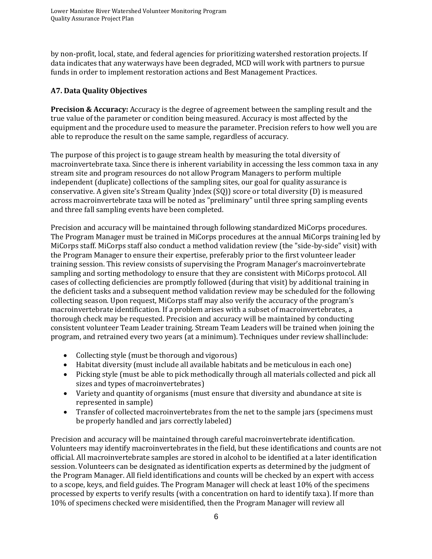by non-profit, local, state, and federal agencies for prioritizing watershed restoration projects. If data indicates that any waterways have been degraded, MCD will work with partners to pursue funds in order to implement restoration actions and Best Management Practices.

#### **A7. Data Quality Objectives**

**Precision & Accuracy:** Accuracy is the degree of agreement between the sampling result and the true value of the parameter or condition being measured. Accuracy is most affected by the equipment and the procedure used to measure the parameter. Precision refers to how well you are able to reproduce the result on the same sample, regardless of accuracy.

The purpose of this project is to gauge stream health by measuring the total diversity of macroinvertebrate taxa. Since there is inherent variability in accessing the less common taxa in any stream site and program resources do not allow Program Managers to perform multiple independent (duplicate) collections of the sampling sites, our goal for quality assurance is conservative. A given site's Stream Quality )ndex (SQ)) score or total diversity (D) is measured across macroinvertebrate taxa will be noted as "preliminary" until three spring sampling events and three fall sampling events have been completed.

Precision and accuracy will be maintained through following standardized MiCorps procedures. The Program Manager must be trained in MiCorps procedures at the annual MiCorps training led by MiCorps staff. MiCorps staff also conduct a method validation review (the "side-by-side" visit) with the Program Manager to ensure their expertise, preferably prior to the first volunteer leader training session. This review consists of supervising the Program Manager's macroinvertebrate sampling and sorting methodology to ensure that they are consistent with MiCorps protocol. All cases of collecting deficiencies are promptly followed (during that visit) by additional training in the deficient tasks and a subsequent method validation review may be scheduled for the following collecting season. Upon request, MiCorps staff may also verify the accuracy of the program's macroinvertebrate identification. If a problem arises with a subset of macroinvertebrates, a thorough check may be requested. Precision and accuracy will be maintained by conducting consistent volunteer Team Leader training. Stream Team Leaders will be trained when joining the program, and retrained every two years (at a minimum). Techniques under review shallinclude:

- Collecting style (must be thorough and vigorous)
- Habitat diversity (must include all available habitats and be meticulous in each one)
- Picking style (must be able to pick methodically through all materials collected and pick all sizes and types of macroinvertebrates)
- Variety and quantity of organisms (must ensure that diversity and abundance at site is represented in sample)
- Transfer of collected macroinvertebrates from the net to the sample jars (specimens must be properly handled and jars correctly labeled)

Precision and accuracy will be maintained through careful macroinvertebrate identification. Volunteers may identify macroinvertebrates in the field, but these identifications and counts are not official. All macroinvertebrate samples are stored in alcohol to be identified at a later identification session. Volunteers can be designated as identification experts as determined by the judgment of the Program Manager. All field identifications and counts will be checked by an expert with access to a scope, keys, and field guides. The Program Manager will check at least 10% of the specimens processed by experts to verify results (with a concentration on hard to identify taxa). If more than 10% of specimens checked were misidentified, then the Program Manager will review all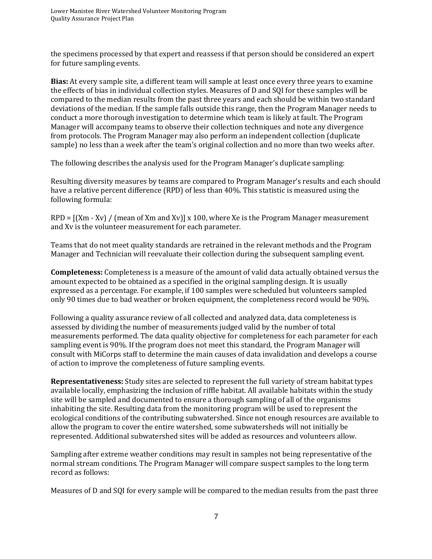the specimens processed by that expert and reassess if that person should be considered an expert for future sampling events.

**Bias:** At every sample site, a different team will sample at least once every three years to examine the effects of bias in individual collection styles. Measures of D and SQI for these samples will be compared to the median results from the past three years and each should be within two standard deviations of the median. If the sample falls outside this range, then the Program Manager needs to conduct a more thorough investigation to determine which team is likely at fault. The Program Manager will accompany teams to observe their collection techniques and note any divergence from protocols. The Program Manager may also perform an independent collection (duplicate sample) no less than a week after the team's original collection and no more than two weeks after.

The following describes the analysis used for the Program Manager's duplicate sampling:

Resulting diversity measures by teams are compared to Program Manager's results and each should have a relative percent difference (RPD) of less than 40%. This statistic is measured using the following formula:

 $RPD = [(Xm - Xv) / (mean of Xm and Xv)] \times 100$ , where Xe is the Program Manager measurement and Xv is the volunteer measurement for each parameter.

Teams that do not meet quality standards are retrained in the relevant methods and the Program Manager and Technician will reevaluate their collection during the subsequent sampling event.

**Completeness:** Completeness is a measure of the amount of valid data actually obtained versus the amount expected to be obtained as a specified in the original sampling design. It is usually expressed as a percentage. For example, if 100 samples were scheduled but volunteers sampled only 90 times due to bad weather or broken equipment, the completeness record would be 90%.

Following a quality assurance review of all collected and analyzed data, data completeness is assessed by dividing the number of measurements judged valid by the number of total measurements performed. The data quality objective for completeness for each parameter for each sampling event is 90%. If the program does not meet this standard, the Program Manager will consult with MiCorps staff to determine the main causes of data invalidation and develops a course of action to improve the completeness of future sampling events.

**Representativeness:** Study sites are selected to represent the full variety of stream habitat types available locally, emphasizing the inclusion of riffle habitat. All available habitats within the study site will be sampled and documented to ensure a thorough sampling of all of the organisms inhabiting the site. Resulting data from the monitoring program will be used to represent the ecological conditions of the contributing subwatershed. Since not enough resources are available to allow the program to cover the entire watershed, some subwatersheds will not initially be represented. Additional subwatershed sites will be added as resources and volunteers allow.

Sampling after extreme weather conditions may result in samples not being representative of the normal stream conditions. The Program Manager will compare suspect samples to the long term record as follows:

Measures of D and SQI for every sample will be compared to the median results from the past three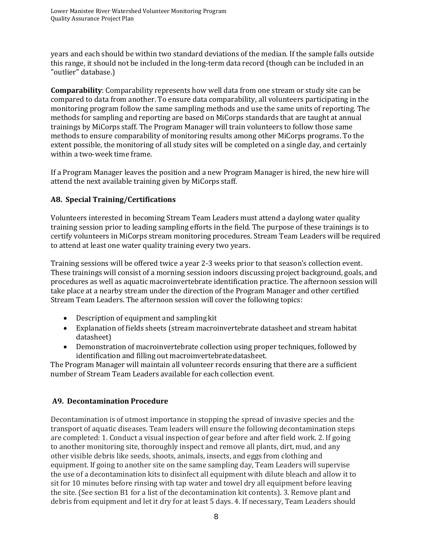years and each should be within two standard deviations of the median. If the sample falls outside this range, it should not be included in the long-term data record (though can be included in an "outlier" database.)

**Comparability**: Comparability represents how well data from one stream or study site can be compared to data from another. To ensure data comparability, all volunteers participating in the monitoring program follow the same sampling methods and use the same units of reporting. The methods for sampling and reporting are based on MiCorps standards that are taught at annual trainings by MiCorps staff. The Program Manager will train volunteers to follow those same methods to ensure comparability of monitoring results among other MiCorps programs. To the extent possible, the monitoring of all study sites will be completed on a single day, and certainly within a two-week time frame.

If a Program Manager leaves the position and a new Program Manager is hired, the new hire will attend the next available training given by MiCorps staff.

#### **A8. Special Training/Certifications**

Volunteers interested in becoming Stream Team Leaders must attend a daylong water quality training session prior to leading sampling efforts in the field. The purpose of these trainings is to certify volunteers in MiCorps stream monitoring procedures. Stream Team Leaders will be required to attend at least one water quality training every two years.

Training sessions will be offered twice a year 2-3 weeks prior to that season's collection event. These trainings will consist of a morning session indoors discussing project background, goals, and procedures as well as aquatic macroinvertebrate identification practice. The afternoon session will take place at a nearby stream under the direction of the Program Manager and other certified Stream Team Leaders. The afternoon session will cover the following topics:

- Description of equipment and sampling kit
- Explanation of fields sheets (stream macroinvertebrate datasheet and stream habitat datasheet)
- Demonstration of macroinvertebrate collection using proper techniques, followed by identification and filling out macroinvertebratedatasheet.

 The Program Manager will maintain all volunteer records ensuring that there are a sufficient number of Stream Team Leaders available for each collection event.

#### **A9. Decontamination Procedure**

Decontamination is of utmost importance in stopping the spread of invasive species and the transport of aquatic diseases. Team leaders will ensure the following decontamination steps are completed: 1. Conduct a visual inspection of gear before and after field work. 2. If going to another monitoring site, thoroughly inspect and remove all plants, dirt, mud, and any other visible debris like seeds, shoots, animals, insects, and eggs from clothing and equipment. If going to another site on the same sampling day, Team Leaders will supervise the use of a decontamination kits to disinfect all equipment with dilute bleach and allow it to sit for 10 minutes before rinsing with tap water and towel dry all equipment before leaving the site. (See section B1 for a list of the decontamination kit contents). 3. Remove plant and debris from equipment and let it dry for at least 5 days. 4. If necessary, Team Leaders should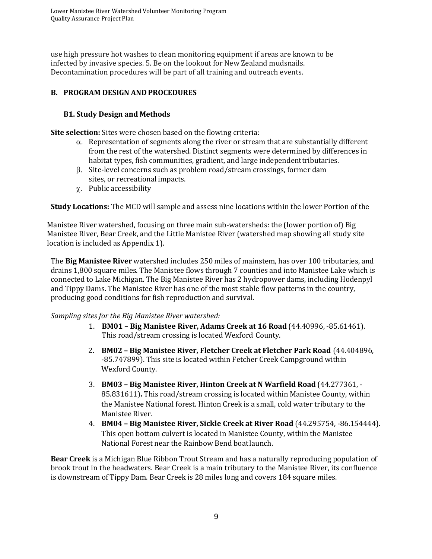use high pressure hot washes to clean monitoring equipment if areas are known to be infected by invasive species. 5. Be on the lookout for New Zealand mudsnails. Decontamination procedures will be part of all training and outreach events.

## **B. PROGRAM DESIGN AND PROCEDURES**

#### **B1. Study Design and Methods**

**Site selection:** Sites were chosen based on the flowing criteria:

- $\alpha$ . Representation of segments along the river or stream that are substantially different from the rest of the watershed. Distinct segments were determined by differences in habitat types, fish communities, gradient, and large independenttributaries.
- β. Site-level concerns such as problem road/stream crossings, former dam sites, or recreational impacts.
- χ. Public accessibility

**Study Locations:** The MCD will sample and assess nine locations within the lower Portion of the

Manistee River watershed, focusing on three main sub-watersheds: the (lower portion of) Big Manistee River, Bear Creek, and the Little Manistee River (watershed map showing all study site location is included as Appendix 1).

The **Big Manistee River** watershed includes 250 miles of mainstem, has over 100 tributaries, and drains 1,800 square miles. The Manistee flows through 7 counties and into Manistee Lake which is connected to Lake Michigan. The Big Manistee River has 2 hydropower dams, including Hodenpyl and Tippy Dams. The Manistee River has one of the most stable flow patterns in the country, producing good conditions for fish reproduction and survival.

#### *Sampling sites for the Big Manistee River watershed:*

- 1. **BM01 – Big Manistee River, Adams Creek at 16 Road** (44.40996, -85.61461). This road/stream crossing is located Wexford County.
- 2. **BM02 – Big Manistee River, Fletcher Creek at Fletcher Park Road** (44.404896, -85.747899). This site is located within Fetcher Creek Campground within Wexford County.
- 3. **BM03 – Big Manistee River, Hinton Creek at N Warfield Road** (44.277361, 85.831611)**.** This road/stream crossing is located within Manistee County, within the Manistee National forest. Hinton Creek is a small, cold water tributary to the Manistee River.
- 4. **BM04 – Big Manistee River, Sickle Creek at River Road** (44.295754, -86.154444). This open bottom culvert is located in Manistee County, within the Manistee National Forest near the Rainbow Bend boatlaunch.

**Bear Creek** is a Michigan Blue Ribbon Trout Stream and has a naturally reproducing population of brook trout in the headwaters. Bear Creek is a main tributary to the Manistee River, its confluence is downstream of Tippy Dam. Bear Creek is 28 miles long and covers 184 square miles.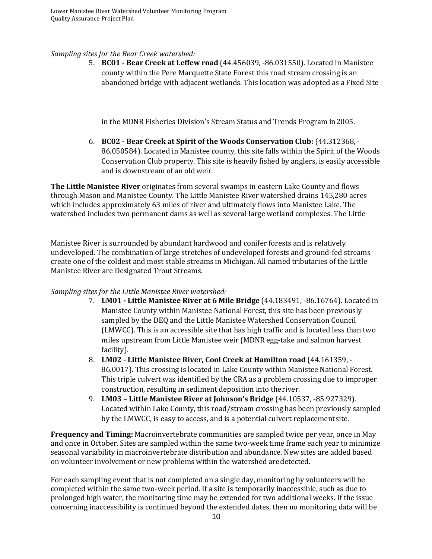#### *Sampling sites for the Bear Creek watershed:*

5. **BC01 - Bear Creek at Leffew road** (44.456039, -86.031550). Located in Manistee county within the Pere Marquette State Forest this road stream crossing is an abandoned bridge with adjacent wetlands. This location was adopted as a Fixed Site

in the MDNR Fisheries Division's Stream Status and Trends Program in2005.

6. **BC02 - Bear Creek at Spirit of the Woods Conservation Club:** (44.312368, - 86.050584). Located in Manistee county, this site falls within the Spirit of the Woods Conservation Club property. This site is heavily fished by anglers, is easily accessible and is downstream of an oldweir.

**The Little Manistee River** originates from several swamps in eastern Lake County and flows through Mason and Manistee County. The Little Manistee River watershed drains 145,280 acres which includes approximately 63 miles of river and ultimately flows into Manistee Lake. The watershed includes two permanent dams as well as several large wetland complexes. The Little

Manistee River is surrounded by abundant hardwood and conifer forests and is relatively undeveloped. The combination of large stretches of undeveloped forests and ground-fed streams create one of the coldest and most stable streams in Michigan. All named tributaries of the Little Manistee River are Designated Trout Streams.

#### *Sampling sites for the Little Manistee River watershed:*

- 7. **LM01 - Little Manistee River at 6 Mile Bridge** (44.183491, -86.16764). Located in Manistee County within Manistee National Forest, this site has been previously sampled by the DEQ and the Little Manistee Watershed Conservation Council (LMWCC). This is an accessible site that has high traffic and is located less than two miles upstream from Little Manistee weir (MDNR egg-take and salmon harvest facility).
- 8. **LM02 - Little Manistee River, Cool Creek at Hamilton road** (44.161359, 86.0017). This crossing is located in Lake County within Manistee National Forest. This triple culvert was identified by the CRA as a problem crossing due to improper construction, resulting in sediment deposition into theriver.
- 9. **LM03 – Little Manistee River at Johnson's Bridge** (44.10537, -85.927329). Located within Lake County, this road/stream crossing has been previously sampled by the LMWCC, is easy to access, and is a potential culvert replacementsite.

**Frequency and Timing:** Macroinvertebrate communities are sampled twice per year, once in May and once in October. Sites are sampled within the same two-week time frame each year to minimize seasonal variability in macroinvertebrate distribution and abundance. New sites are added based on volunteer involvement or new problems within the watershed aredetected.

For each sampling event that is not completed on a single day, monitoring by volunteers will be completed within the same two-week period. If a site is temporarily inaccessible, such as due to prolonged high water, the monitoring time may be extended for two additional weeks. If the issue concerning inaccessibility is continued beyond the extended dates, then no monitoring data will be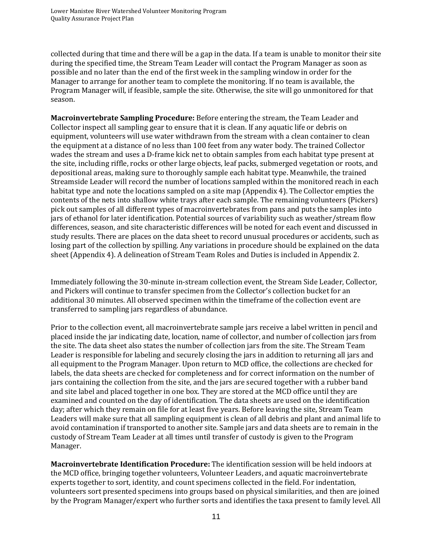collected during that time and there will be a gap in the data. If a team is unable to monitor their site during the specified time, the Stream Team Leader will contact the Program Manager as soon as possible and no later than the end of the first week in the sampling window in order for the Manager to arrange for another team to complete the monitoring. If no team is available, the Program Manager will, if feasible, sample the site. Otherwise, the site will go unmonitored for that season.

**Macroinvertebrate Sampling Procedure:** Before entering the stream, the Team Leader and Collector inspect all sampling gear to ensure that it is clean. If any aquatic life or debris on equipment, volunteers will use water withdrawn from the stream with a clean container to clean the equipment at a distance of no less than 100 feet from any water body. The trained Collector wades the stream and uses a D-frame kick net to obtain samples from each habitat type present at the site, including riffle, rocks or other large objects, leaf packs, submerged vegetation or roots, and depositional areas, making sure to thoroughly sample each habitat type. Meanwhile, the trained Streamside Leader will record the number of locations sampled within the monitored reach in each habitat type and note the locations sampled on a site map (Appendix 4). The Collector empties the contents of the nets into shallow white trays after each sample. The remaining volunteers (Pickers) pick out samples of all different types of macroinvertebrates from pans and puts the samples into jars of ethanol for later identification. Potential sources of variability such as weather/stream flow differences, season, and site characteristic differences will be noted for each event and discussed in study results. There are places on the data sheet to record unusual procedures or accidents, such as losing part of the collection by spilling. Any variations in procedure should be explained on the data sheet (Appendix 4). A delineation of Stream Team Roles and Duties is included in Appendix 2.

Immediately following the 30-minute in-stream collection event, the Stream Side Leader, Collector, and Pickers will continue to transfer specimen from the Collector's collection bucket for an additional 30 minutes. All observed specimen within the timeframe of the collection event are transferred to sampling jars regardless of abundance.

Prior to the collection event, all macroinvertebrate sample jars receive a label written in pencil and placed inside the jar indicating date, location, name of collector, and number of collection jars from the site. The data sheet also states the number of collection jars from the site. The Stream Team Leader is responsible for labeling and securely closing the jars in addition to returning all jars and all equipment to the Program Manager. Upon return to MCD office, the collections are checked for labels, the data sheets are checked for completeness and for correct information on the number of jars containing the collection from the site, and the jars are secured together with a rubber band and site label and placed together in one box. They are stored at the MCD office until they are examined and counted on the day of identification. The data sheets are used on the identification day; after which they remain on file for at least five years. Before leaving the site, Stream Team Leaders will make sure that all sampling equipment is clean of all debris and plant and animal life to avoid contamination if transported to another site. Sample jars and data sheets are to remain in the custody of Stream Team Leader at all times until transfer of custody is given to the Program Manager.

**Macroinvertebrate Identification Procedure:** The identification session will be held indoors at the MCD office, bringing together volunteers, Volunteer Leaders, and aquatic macroinvertebrate experts together to sort, identity, and count specimens collected in the field. For indentation, volunteers sort presented specimens into groups based on physical similarities, and then are joined by the Program Manager/expert who further sorts and identifies the taxa present to family level. All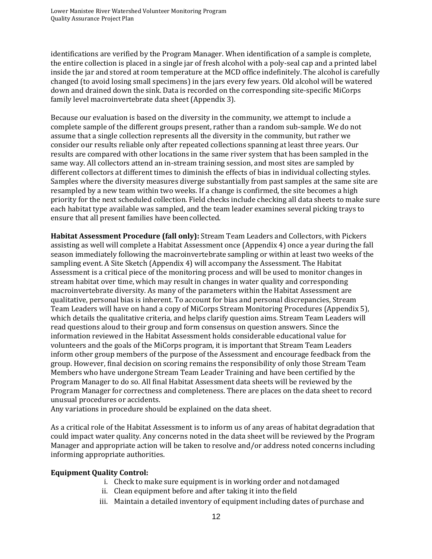identifications are verified by the Program Manager. When identification of a sample is complete, the entire collection is placed in a single jar of fresh alcohol with a poly-seal cap and a printed label inside the jar and stored at room temperature at the MCD office indefinitely. The alcohol is carefully changed (to avoid losing small specimens) in the jars every few years. Old alcohol will be watered down and drained down the sink. Data is recorded on the corresponding site-specific MiCorps family level macroinvertebrate data sheet (Appendix 3).

Because our evaluation is based on the diversity in the community, we attempt to include a complete sample of the different groups present, rather than a random sub-sample. We do not assume that a single collection represents all the diversity in the community, but rather we consider our results reliable only after repeated collections spanning at least three years. Our results are compared with other locations in the same river system that has been sampled in the same way. All collectors attend an in-stream training session, and most sites are sampled by different collectors at different times to diminish the effects of bias in individual collecting styles. Samples where the diversity measures diverge substantially from past samples at the same site are resampled by a new team within two weeks. If a change is confirmed, the site becomes a high priority for the next scheduled collection. Field checks include checking all data sheets to make sure each habitat type available was sampled, and the team leader examines several picking trays to ensure that all present families have beencollected.

**Habitat Assessment Procedure (fall only):** Stream Team Leaders and Collectors, with Pickers assisting as well will complete a Habitat Assessment once (Appendix 4) once a year during the fall season immediately following the macroinvertebrate sampling or within at least two weeks of the sampling event. A Site Sketch (Appendix 4) will accompany the Assessment. The Habitat Assessment is a critical piece of the monitoring process and will be used to monitor changes in stream habitat over time, which may result in changes in water quality and corresponding macroinvertebrate diversity. As many of the parameters within the Habitat Assessment are qualitative, personal bias is inherent. To account for bias and personal discrepancies, Stream Team Leaders will have on hand a copy of MiCorps Stream Monitoring Procedures (Appendix 5), which details the qualitative criteria, and helps clarify question aims. Stream Team Leaders will read questions aloud to their group and form consensus on question answers. Since the information reviewed in the Habitat Assessment holds considerable educational value for volunteers and the goals of the MiCorps program, it is important that Stream Team Leaders inform other group members of the purpose of the Assessment and encourage feedback from the group. However, final decision on scoring remains the responsibility of only those Stream Team Members who have undergone Stream Team Leader Training and have been certified by the Program Manager to do so. All final Habitat Assessment data sheets will be reviewed by the Program Manager for correctness and completeness. There are places on the data sheet to record unusual procedures or accidents.

Any variations in procedure should be explained on the data sheet.

As a critical role of the Habitat Assessment is to inform us of any areas of habitat degradation that could impact water quality. Any concerns noted in the data sheet will be reviewed by the Program Manager and appropriate action will be taken to resolve and/or address noted concerns including informing appropriate authorities.

#### **Equipment Quality Control:**

- i. Check to make sure equipment is in working order and notdamaged
- ii. Clean equipment before and after taking it into the field
- iii. Maintain a detailed inventory of equipment including dates of purchase and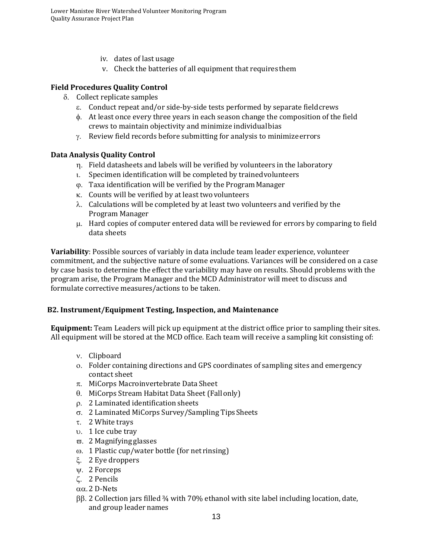- iv. dates of last usage
- v. Check the batteries of all equipment that requires them

#### **Field Procedures Quality Control**

- δ. Collect replicate samples
	- ε. Conduct repeat and/or side-by-side tests performed by separate field crews
	- φ. At least once every three years in each season change the composition of the field crews to maintain objectivity and minimize individualbias
	- $\gamma$ . Review field records before submitting for analysis to minimize errors

#### **Data Analysis Quality Control**

- η. Field datasheets and labels will be verified by volunteers in the laboratory
- ι. Specimen identification will be completed by trainedvolunteers
- ϕ. Taxa identification will be verified by the ProgramManager
- κ. Counts will be verified by at least twovolunteers
- λ. Calculations will be completed by at least two volunteers and verified by the Program Manager
- µ. Hard copies of computer entered data will be reviewed for errors by comparing to field data sheets

**Variability**: Possible sources of variably in data include team leader experience, volunteer commitment, and the subjective nature of some evaluations. Variances will be considered on a case by case basis to determine the effect the variability may have on results. Should problems with the program arise, the Program Manager and the MCD Administrator will meet to discuss and formulate corrective measures/actions to be taken.

#### **B2. Instrument/Equipment Testing, Inspection, and Maintenance**

**Equipment:** Team Leaders will pick up equipment at the district office prior to sampling their sites. All equipment will be stored at the MCD office. Each team will receive a sampling kit consisting of:

- ν. Clipboard
- ο. Folder containing directions and GPS coordinates of sampling sites and emergency contact sheet
- π. MiCorps Macroinvertebrate Data Sheet
- θ. MiCorps Stream Habitat Data Sheet (Fallonly)
- ρ. 2 Laminated identification sheets
- σ. 2 Laminated MiCorps Survey/Sampling Tips Sheets
- τ. 2 White trays
- υ. 1 Ice cube tray
- ϖ. 2 Magnifying glasses
- ω. 1 Plastic cup/water bottle (for net rinsing)
- ξ. 2 Eye droppers
- ψ. 2 Forceps
- ζ. 2 Pencils
- αα.2 D-Nets
- ββ. 2 Collection jars filled ¾ with 70% ethanol with site label including location, date, and group leader names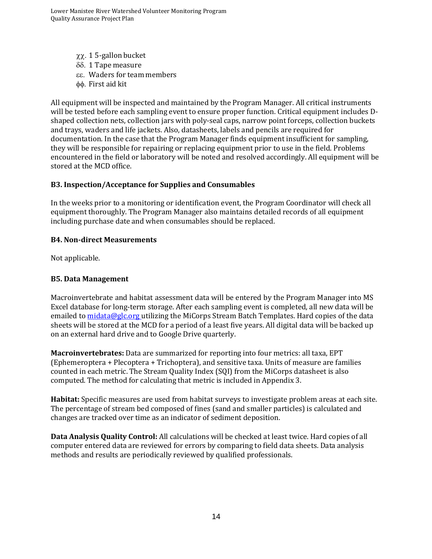χχ. 1 5-gallon bucket δδ. 1 Tape measure εε. Waders for team members φφ. First aid kit

All equipment will be inspected and maintained by the Program Manager. All critical instruments will be tested before each sampling event to ensure proper function. Critical equipment includes Dshaped collection nets, collection jars with poly-seal caps, narrow point forceps, collection buckets and trays, waders and life jackets. Also, datasheets, labels and pencils are required for documentation. In the case that the Program Manager finds equipment insufficient for sampling, they will be responsible for repairing or replacing equipment prior to use in the field. Problems encountered in the field or laboratory will be noted and resolved accordingly. All equipment will be stored at the MCD office.

#### **B3. Inspection/Acceptance for Supplies and Consumables**

In the weeks prior to a monitoring or identification event, the Program Coordinator will check all equipment thoroughly. The Program Manager also maintains detailed records of all equipment including purchase date and when consumables should be replaced.

#### **B4. Non-direct Measurements**

Not applicable.

#### **B5. Data Management**

Macroinvertebrate and habitat assessment data will be entered by the Program Manager into MS Excel database for long-term storage. After each sampling event is completed, all new data will be emailed to [midata@glc.org u](mailto:midata@glc.org)tilizing the MiCorps Stream Batch Templates. Hard copies of the data sheets will be stored at the MCD for a period of a least five years. All digital data will be backed up on an external hard drive and to Google Drive quarterly.

**Macroinvertebrates:** Data are summarized for reporting into four metrics: all taxa, EPT (Ephemeroptera + Plecoptera + Trichoptera), and sensitive taxa. Units of measure are families counted in each metric. The Stream Quality Index (SQI) from the MiCorps datasheet is also computed. The method for calculating that metric is included in Appendix 3.

**Habitat:** Specific measures are used from habitat surveys to investigate problem areas at each site. The percentage of stream bed composed of fines (sand and smaller particles) is calculated and changes are tracked over time as an indicator of sediment deposition.

**Data Analysis Quality Control:** All calculations will be checked at least twice. Hard copies of all computer entered data are reviewed for errors by comparing to field data sheets. Data analysis methods and results are periodically reviewed by qualified professionals.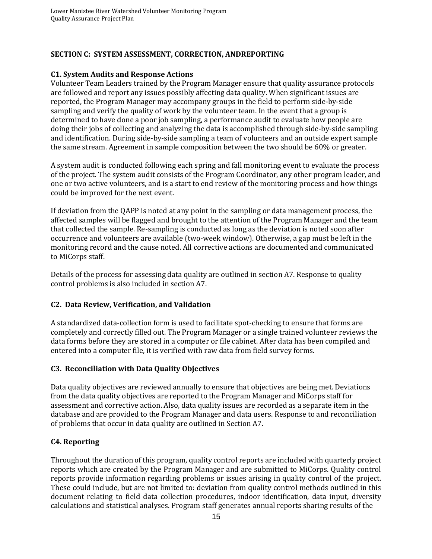## **SECTION C: SYSTEM ASSESSMENT, CORRECTION, ANDREPORTING**

## **C1. System Audits and Response Actions**

Volunteer Team Leaders trained by the Program Manager ensure that quality assurance protocols are followed and report any issues possibly affecting data quality. When significant issues are reported, the Program Manager may accompany groups in the field to perform side-by-side sampling and verify the quality of work by the volunteer team. In the event that a group is determined to have done a poor job sampling, a performance audit to evaluate how people are doing their jobs of collecting and analyzing the data is accomplished through side-by-side sampling and identification. During side-by-side sampling a team of volunteers and an outside expert sample the same stream. Agreement in sample composition between the two should be 60% or greater.

A system audit is conducted following each spring and fall monitoring event to evaluate the process of the project. The system audit consists of the Program Coordinator, any other program leader, and one or two active volunteers, and is a start to end review of the monitoring process and how things could be improved for the next event.

If deviation from the QAPP is noted at any point in the sampling or data management process, the affected samples will be flagged and brought to the attention of the Program Manager and the team that collected the sample. Re-sampling is conducted as long as the deviation is noted soon after occurrence and volunteers are available (two-week window). Otherwise, a gap must be left in the monitoring record and the cause noted. All corrective actions are documented and communicated to MiCorps staff.

Details of the process for assessing data quality are outlined in section A7. Response to quality control problems is also included in section A7.

#### **C2. Data Review, Verification, and Validation**

A standardized data-collection form is used to facilitate spot-checking to ensure that forms are completely and correctly filled out. The Program Manager or a single trained volunteer reviews the data forms before they are stored in a computer or file cabinet. After data has been compiled and entered into a computer file, it is verified with raw data from field survey forms.

#### **C3. Reconciliation with Data Quality Objectives**

Data quality objectives are reviewed annually to ensure that objectives are being met. Deviations from the data quality objectives are reported to the Program Manager and MiCorps staff for assessment and corrective action. Also, data quality issues are recorded as a separate item in the database and are provided to the Program Manager and data users. Response to and reconciliation of problems that occur in data quality are outlined in Section A7.

## **C4. Reporting**

Throughout the duration of this program, quality control reports are included with quarterly project reports which are created by the Program Manager and are submitted to MiCorps. Quality control reports provide information regarding problems or issues arising in quality control of the project. These could include, but are not limited to: deviation from quality control methods outlined in this document relating to field data collection procedures, indoor identification, data input, diversity calculations and statistical analyses. Program staff generates annual reports sharing results of the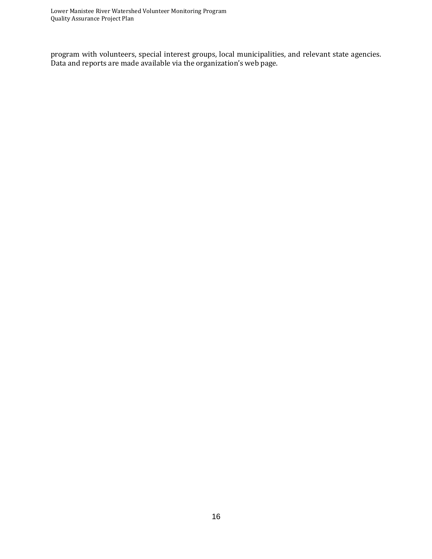program with volunteers, special interest groups, local municipalities, and relevant state agencies. Data and reports are made available via the organization's web page.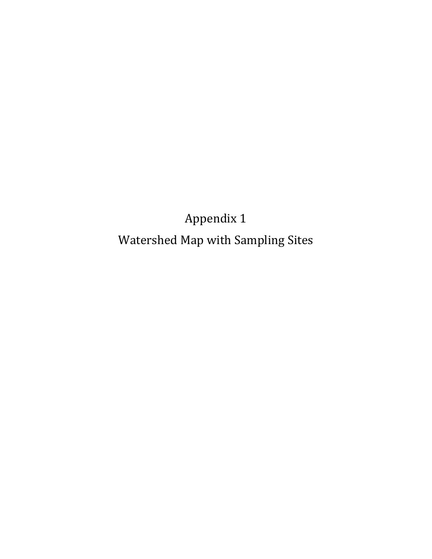Appendix 1 Watershed Map with Sampling Sites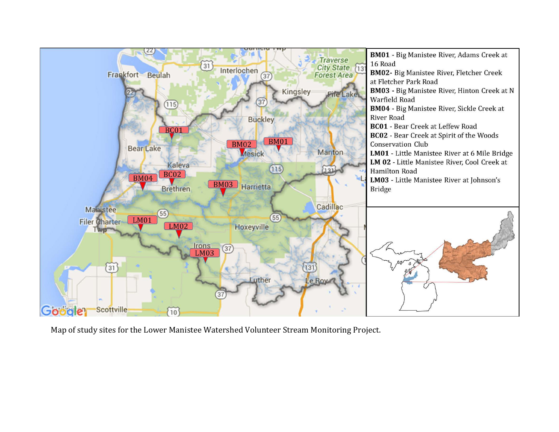

Map of study sites for the Lower Manistee Watershed Volunteer Stream Monitoring Project.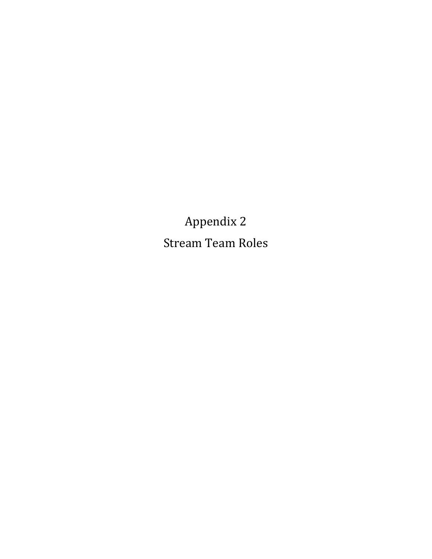Appendix 2 Stream Team Roles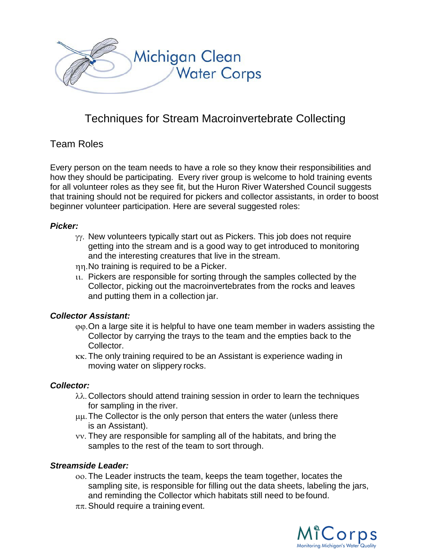

# Techniques for Stream Macroinvertebrate Collecting

## Team Roles

Every person on the team needs to have a role so they know their responsibilities and how they should be participating. Every river group is welcome to hold training events for all volunteer roles as they see fit, but the Huron River Watershed Council suggests that training should not be required for pickers and collector assistants, in order to boost beginner volunteer participation. Here are several suggested roles:

## *Picker:*

- $γγ$ . New volunteers typically start out as Pickers. This job does not require getting into the stream and is a good way to get introduced to monitoring and the interesting creatures that live in the stream.
- ηη.No training is required to be a Picker.
- ιι. Pickers are responsible for sorting through the samples collected by the Collector, picking out the macroinvertebrates from the rocks and leaves and putting them in a collection jar.

## *Collector Assistant:*

- ϕϕ.On a large site it is helpful to have one team member in waders assisting the Collector by carrying the trays to the team and the empties back to the Collector.
- κκ. The only training required to be an Assistant is experience wading in moving water on slippery rocks.

## *Collector:*

- λλ.Collectors should attend training session in order to learn the techniques for sampling in the river.
- µµ.The Collector is the only person that enters the water (unless there is an Assistant).
- νν. They are responsible for sampling all of the habitats, and bring the samples to the rest of the team to sort through.

## *Streamside Leader:*

- οο.The Leader instructs the team, keeps the team together, locates the sampling site, is responsible for filling out the data sheets, labeling the jars, and reminding the Collector which habitats still need to befound.
- $\pi$ π. Should require a training event.

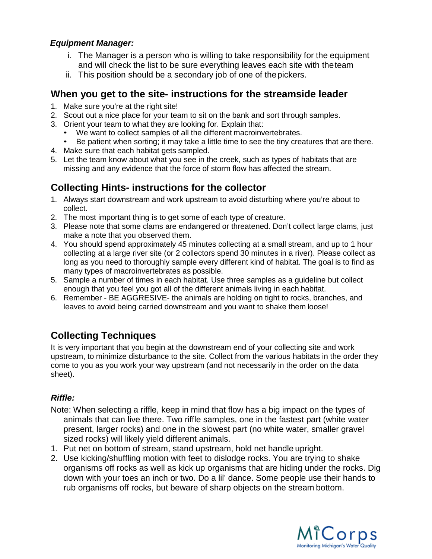## *Equipment Manager:*

- i. The Manager is a person who is willing to take responsibility for the equipment and will check the list to be sure everything leaves each site with theteam
- ii. This position should be a secondary job of one of thepickers.

# **When you get to the site- instructions for the streamside leader**

- 1. Make sure you're at the right site!
- 2. Scout out a nice place for your team to sit on the bank and sort through samples.
- 3. Orient your team to what they are looking for. Explain that:
	- We want to collect samples of all the different macroinvertebrates.
	- Be patient when sorting; it may take a little time to see the tiny creatures that are there.
- 4. Make sure that each habitat gets sampled.
- 5. Let the team know about what you see in the creek, such as types of habitats that are missing and any evidence that the force of storm flow has affected the stream.

# **Collecting Hints- instructions for the collector**

- 1. Always start downstream and work upstream to avoid disturbing where you're about to collect.
- 2. The most important thing is to get some of each type of creature.
- 3. Please note that some clams are endangered or threatened. Don't collect large clams, just make a note that you observed them.
- 4. You should spend approximately 45 minutes collecting at a small stream, and up to 1 hour collecting at a large river site (or 2 collectors spend 30 minutes in a river). Please collect as long as you need to thoroughly sample every different kind of habitat. The goal is to find as many types of macroinvertebrates as possible.
- 5. Sample a number of times in each habitat. Use three samples as a guideline but collect enough that you feel you got all of the different animals living in each habitat.
- 6. Remember BE AGGRESIVE- the animals are holding on tight to rocks, branches, and leaves to avoid being carried downstream and you want to shake them loose!

# **Collecting Techniques**

It is very important that you begin at the downstream end of your collecting site and work upstream, to minimize disturbance to the site. Collect from the various habitats in the order they come to you as you work your way upstream (and not necessarily in the order on the data sheet).

## *Riffle:*

- Note: When selecting a riffle, keep in mind that flow has a big impact on the types of animals that can live there. Two riffle samples, one in the fastest part (white water present, larger rocks) and one in the slowest part (no white water, smaller gravel sized rocks) will likely yield different animals.
- 1. Put net on bottom of stream, stand upstream, hold net handle upright.
- 2. Use kicking/shuffling motion with feet to dislodge rocks. You are trying to shake organisms off rocks as well as kick up organisms that are hiding under the rocks. Dig down with your toes an inch or two. Do a lil' dance. Some people use their hands to rub organisms off rocks, but beware of sharp objects on the stream bottom.

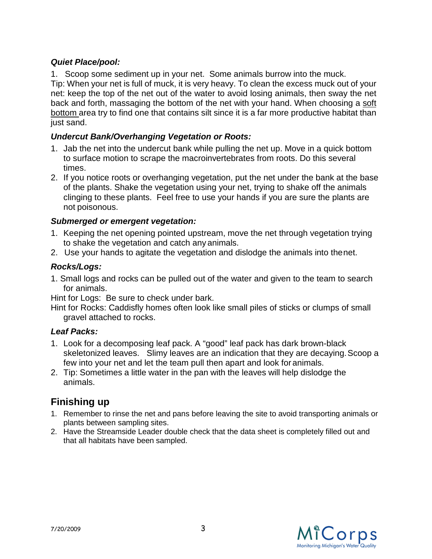## *Quiet Place/pool:*

1. Scoop some sediment up in your net. Some animals burrow into the muck. Tip: When your net is full of muck, it is very heavy. To clean the excess muck out of your net: keep the top of the net out of the water to avoid losing animals, then sway the net back and forth, massaging the bottom of the net with your hand. When choosing a soft bottom area try to find one that contains silt since it is a far more productive habitat than just sand.

## *Undercut Bank/Overhanging Vegetation or Roots:*

- 1. Jab the net into the undercut bank while pulling the net up. Move in a quick bottom to surface motion to scrape the macroinvertebrates from roots. Do this several times.
- 2. If you notice roots or overhanging vegetation, put the net under the bank at the base of the plants. Shake the vegetation using your net, trying to shake off the animals clinging to these plants. Feel free to use your hands if you are sure the plants are not poisonous.

## *Submerged or emergent vegetation:*

- 1. Keeping the net opening pointed upstream, move the net through vegetation trying to shake the vegetation and catch any animals.
- 2. Use your hands to agitate the vegetation and dislodge the animals into thenet.

## *Rocks/Logs:*

1. Small logs and rocks can be pulled out of the water and given to the team to search for animals.

Hint for Logs: Be sure to check under bark.

Hint for Rocks: Caddisfly homes often look like small piles of sticks or clumps of small gravel attached to rocks.

## *Leaf Packs:*

- 1. Look for a decomposing leaf pack. A "good" leaf pack has dark brown-black skeletonized leaves. Slimy leaves are an indication that they are decaying. Scoop a few into your net and let the team pull then apart and look for animals.
- 2. Tip: Sometimes a little water in the pan with the leaves will help dislodge the animals.

# **Finishing up**

- 1. Remember to rinse the net and pans before leaving the site to avoid transporting animals or plants between sampling sites.
- 2. Have the Streamside Leader double check that the data sheet is completely filled out and that all habitats have been sampled.

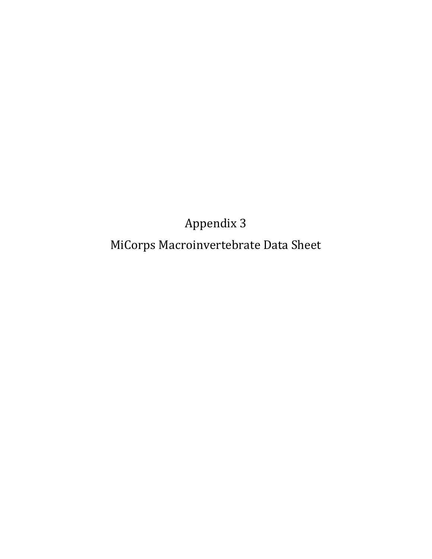Appendix 3 MiCorps Macroinvertebrate Data Sheet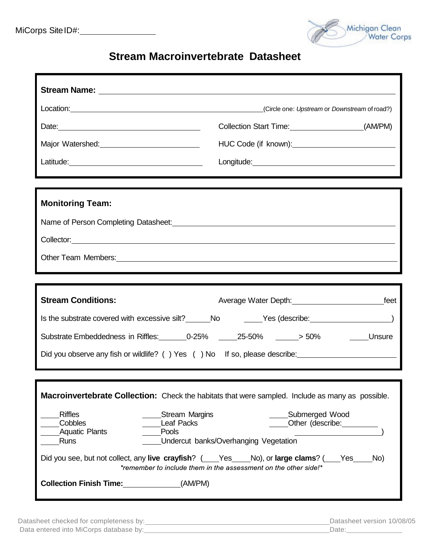п



7

# **Stream Macroinvertebrate Datasheet**

| Collection Start Time: (AM/PM)     |                                                                                                                                                                                                                                                                                                                                                                                                                                                                                                                                                                                                                                                                                                                                              |
|------------------------------------|----------------------------------------------------------------------------------------------------------------------------------------------------------------------------------------------------------------------------------------------------------------------------------------------------------------------------------------------------------------------------------------------------------------------------------------------------------------------------------------------------------------------------------------------------------------------------------------------------------------------------------------------------------------------------------------------------------------------------------------------|
|                                    |                                                                                                                                                                                                                                                                                                                                                                                                                                                                                                                                                                                                                                                                                                                                              |
|                                    |                                                                                                                                                                                                                                                                                                                                                                                                                                                                                                                                                                                                                                                                                                                                              |
|                                    |                                                                                                                                                                                                                                                                                                                                                                                                                                                                                                                                                                                                                                                                                                                                              |
|                                    |                                                                                                                                                                                                                                                                                                                                                                                                                                                                                                                                                                                                                                                                                                                                              |
|                                    |                                                                                                                                                                                                                                                                                                                                                                                                                                                                                                                                                                                                                                                                                                                                              |
|                                    |                                                                                                                                                                                                                                                                                                                                                                                                                                                                                                                                                                                                                                                                                                                                              |
|                                    |                                                                                                                                                                                                                                                                                                                                                                                                                                                                                                                                                                                                                                                                                                                                              |
|                                    |                                                                                                                                                                                                                                                                                                                                                                                                                                                                                                                                                                                                                                                                                                                                              |
|                                    |                                                                                                                                                                                                                                                                                                                                                                                                                                                                                                                                                                                                                                                                                                                                              |
|                                    |                                                                                                                                                                                                                                                                                                                                                                                                                                                                                                                                                                                                                                                                                                                                              |
|                                    |                                                                                                                                                                                                                                                                                                                                                                                                                                                                                                                                                                                                                                                                                                                                              |
|                                    |                                                                                                                                                                                                                                                                                                                                                                                                                                                                                                                                                                                                                                                                                                                                              |
|                                    |                                                                                                                                                                                                                                                                                                                                                                                                                                                                                                                                                                                                                                                                                                                                              |
|                                    |                                                                                                                                                                                                                                                                                                                                                                                                                                                                                                                                                                                                                                                                                                                                              |
| Submerged Wood<br>Other (describe: |                                                                                                                                                                                                                                                                                                                                                                                                                                                                                                                                                                                                                                                                                                                                              |
|                                    | No)                                                                                                                                                                                                                                                                                                                                                                                                                                                                                                                                                                                                                                                                                                                                          |
|                                    |                                                                                                                                                                                                                                                                                                                                                                                                                                                                                                                                                                                                                                                                                                                                              |
|                                    | Collector: <u>collector</u> contract to the collector contract to the collector contract to the collector collector contract to the collector contract of the collector contract of the collector contract of the collector contrac<br>Is the substrate covered with excessive silt?______No ______Yes (describe:__________________________<br>Did you observe any fish or wildlife? () Yes () No If so, please describe:<br>Macroinvertebrate Collection: Check the habitats that were sampled. Include as many as possible.<br>Undercut banks/Overhanging Vegetation<br>Did you see, but not collect, any live crayfish? (Sample Stes Levinon, or large clams? (Samples<br>*remember to include them in the assessment on the other side!* |

| Datasheet checked for completeness by: | Datasheet version 10/08/05 |  |
|----------------------------------------|----------------------------|--|
| Data entered into MiCorps database by: | Date.                      |  |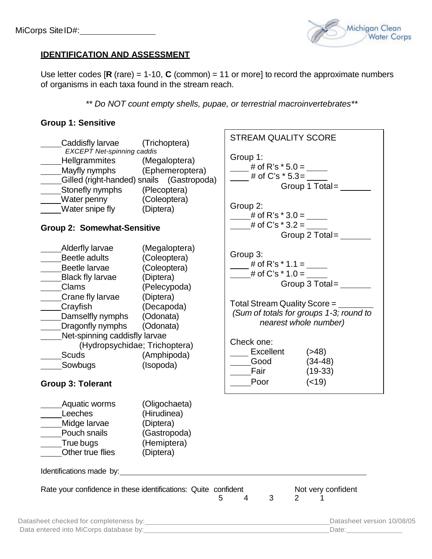

## **IDENTIFICATION AND ASSESSMENT**

Use letter codes [**R** (rare) = 1-10, **C** (common) = 11 or more] to record the approximate numbers of organisms in each taxa found in the stream reach.

*\*\* Do NOT count empty shells, pupae, or terrestrial macroinvertebrates\*\**

## **Group 1: Sensitive**

| <b>EXCEPT Net-spinning caddis</b><br>Hellgrammites (Megaloptera)                                                                                                                                                               |                                          |
|--------------------------------------------------------------------------------------------------------------------------------------------------------------------------------------------------------------------------------|------------------------------------------|
|                                                                                                                                                                                                                                | Group 1:                                 |
| Mayfly nymphs (Ephemeroptera)                                                                                                                                                                                                  | # of R's $*$ 5.0 = _____                 |
| Gilled (right-handed) snails (Gastropoda)                                                                                                                                                                                      | # of C's * 5.3=                          |
| Stonefly nymphs<br>(Plecoptera)                                                                                                                                                                                                | Group 1 Total = $\overline{\phantom{a}}$ |
| Water penny<br>(Coleoptera)                                                                                                                                                                                                    |                                          |
| Water snipe fly<br>(Diptera)                                                                                                                                                                                                   | Group 2:                                 |
|                                                                                                                                                                                                                                | $#$ of R's $*$ 3.0 = _____               |
| <b>Group 2: Somewhat-Sensitive</b>                                                                                                                                                                                             | $#$ of C's $*$ 3.2 = $\_\_$              |
|                                                                                                                                                                                                                                | Group 2 Total=                           |
| Alderfly larvae<br>(Megaloptera)                                                                                                                                                                                               |                                          |
| Beetle adults<br>(Coleoptera)                                                                                                                                                                                                  | Group 3:                                 |
| Beetle larvae<br>(Coleoptera)                                                                                                                                                                                                  | # of R's $*$ 1.1 = $\_\_$                |
| Black fly larvae<br>(Diptera)                                                                                                                                                                                                  | # of C's $*$ 1.0 =                       |
| Clams<br>(Pelecypoda)                                                                                                                                                                                                          | Group 3 Total = $\_\_$                   |
| _Crane fly larvae<br>(Diptera)                                                                                                                                                                                                 |                                          |
| Crayfish<br>(Decapoda)                                                                                                                                                                                                         | Total Stream Quality Score = $\_$        |
| Damselfly nymphs<br>(Odonata)                                                                                                                                                                                                  | (Sum of totals for groups 1-3; round to  |
| Dragonfly nymphs<br>(Odonata)                                                                                                                                                                                                  | nearest whole number)                    |
| Net-spinning caddisfly larvae                                                                                                                                                                                                  |                                          |
| (Hydropsychidae; Trichoptera)                                                                                                                                                                                                  | Check one:                               |
| Scuds<br>(Amphipoda)                                                                                                                                                                                                           | Excellent<br>( > 48)                     |
| (Isopoda)<br>Sowbugs                                                                                                                                                                                                           | Good<br>$(34-48)$                        |
|                                                                                                                                                                                                                                | Fair<br>$(19-33)$                        |
| <b>Group 3: Tolerant</b>                                                                                                                                                                                                       | (< 19)<br>Poor                           |
| Aquatic worms<br>(Oligochaeta)                                                                                                                                                                                                 |                                          |
| Leeches<br>(Hirudinea)                                                                                                                                                                                                         |                                          |
| (Diptera)<br>Midge larvae                                                                                                                                                                                                      |                                          |
| Pouch snails<br>(Gastropoda)                                                                                                                                                                                                   |                                          |
| (Hemiptera)<br>True bugs                                                                                                                                                                                                       |                                          |
| Other true flies<br>(Diptera)                                                                                                                                                                                                  |                                          |
| Identifications made by: Note that the state of the state of the state of the state of the state of the state of the state of the state of the state of the state of the state of the state of the state of the state of the s |                                          |
| Rate your confidence in these identifications: Quite confident                                                                                                                                                                 | Not very confident                       |
| 5.                                                                                                                                                                                                                             | $\mathbf{3}$<br>$\overline{4}$<br>2<br>1 |
|                                                                                                                                                                                                                                | Datasheet version 10/08/05               |
| Data entered into MiCorps database by:<br><u>Data entered into MiCorps database by:</u>                                                                                                                                        |                                          |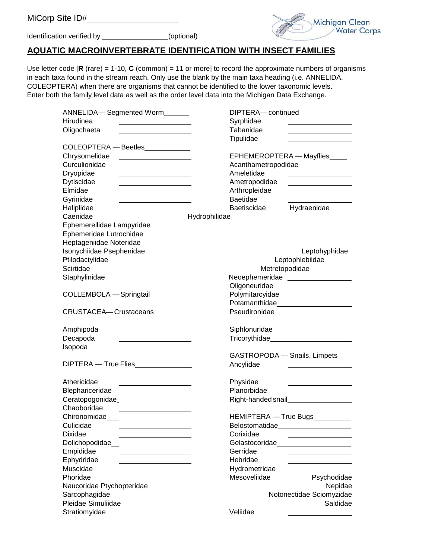MiCorp Site ID#

Identification verified by: (optional)

## **AQUATIC MACROINVERTEBRATE IDENTIFICATION WITH INSECT FAMILIES**

Use letter code [**R** (rare) = 1-10, **C** (common) = 11 or more] to record the approximate numbers of organisms in each taxa found in the stream reach. Only use the blank by the main taxa heading (i.e. ANNELIDA, COLEOPTERA) when there are organisms that cannot be identified to the lower taxonomic levels. Enter both the family level data as well as the order level data into the Michigan Data Exchange.

| ANNELIDA— Segmented Worm                                                                                                         | DIPTERA-continued                                                            |
|----------------------------------------------------------------------------------------------------------------------------------|------------------------------------------------------------------------------|
| Hirudinea                                                                                                                        | Syrphidae                                                                    |
| Oligochaeta                                                                                                                      | Tabanidae                                                                    |
|                                                                                                                                  | Tipulidae                                                                    |
| COLEOPTERA - Beetles                                                                                                             |                                                                              |
| Chrysomelidae                                                                                                                    | EPHEMEROPTERA - Mayflies                                                     |
| Curculionidae<br><u> 1980 - Johann Barn, mars an t-Amerikaansk kommunister (</u>                                                 | Acanthametropodidae                                                          |
| Dryopidae<br>the control of the control of the control of the control of the control of                                          | Ameletidae                                                                   |
| Dytiscidae<br><u> 1989 - Johann Barbara, martin amerikan ba</u>                                                                  | Ametropodidae<br><u> 1980 - Johann Barbara, martxa al</u>                    |
| Elmidae<br><u> 1989 - Johann Barbara, martxa a</u>                                                                               | Arthropleidae<br><u> 1989 - Johann Barbara, martin d</u>                     |
| Gyrinidae<br><u> 1989 - Johann Barn, mars an t-Amerikaansk kommunister (</u>                                                     | <b>Baetidae</b>                                                              |
| Haliplidae                                                                                                                       | Baetiscidae<br>Hydraenidae                                                   |
| Caenidae                                                                                                                         | Hydrophilidae                                                                |
| Ephemerellidae Lampyridae                                                                                                        |                                                                              |
| Ephemeridae Lutrochidae                                                                                                          |                                                                              |
| Heptageniidae Noteridae                                                                                                          |                                                                              |
| Isonychiidae Psephenidae                                                                                                         | Leptohyphidae                                                                |
| Ptilodactylidae                                                                                                                  | Leptophlebiidae                                                              |
| Scirtidae                                                                                                                        |                                                                              |
|                                                                                                                                  | Metretopodidae                                                               |
| Staphylinidae                                                                                                                    | Neoephemeridae _________________                                             |
|                                                                                                                                  | Oligoneuridae                                                                |
| COLLEMBOLA - Springtail                                                                                                          | Polymitarcyidae_____________________                                         |
|                                                                                                                                  | Potamanthidae_____________________                                           |
| CRUSTACEA-Crustaceans                                                                                                            | Pseudironidae                                                                |
|                                                                                                                                  |                                                                              |
| Amphipoda<br><u> 1989 - Johann Barn, mars ann an t-Amhair ann an t-Amhair an t-Amhair ann an t-Amhair an t-Amhair ann an t-A</u> |                                                                              |
| Decapoda<br><u> 1989 - Johann Barn, mars ann an t-Amhain Aonaich an t-Aonaich an t-Aonaich ann an t-Aonaich ann an t-Aonaich</u> | Tricorythidae__________________________                                      |
| Isopoda                                                                                                                          |                                                                              |
|                                                                                                                                  | GASTROPODA - Snails, Limpets_                                                |
| DIPTERA - True Flies                                                                                                             | Ancylidae<br><u> 1980 - Johann Barbara, martin a</u>                         |
|                                                                                                                                  |                                                                              |
| Athericidae                                                                                                                      | Physidae                                                                     |
| Blephariceridae_                                                                                                                 | Planorbidae                                                                  |
| Ceratopogonidae                                                                                                                  |                                                                              |
| Chaoboridae                                                                                                                      |                                                                              |
| Chironomidae___                                                                                                                  | HEMIPTERA - True Bugs                                                        |
| Culicidae                                                                                                                        | Belostomatidae                                                               |
| Dixidae                                                                                                                          | Corixidae<br><u> 1980 - Johann Barn, mars an t-Amerikaansk kommunister (</u> |
| Dolichopodidae_                                                                                                                  |                                                                              |
| Empididae                                                                                                                        | Gerridae                                                                     |
| Ephydridae                                                                                                                       | Hebridae                                                                     |
| Muscidae                                                                                                                         | Hydrometridae_                                                               |
| Phoridae                                                                                                                         | Psychodidae<br>Mesoveliidae                                                  |
| Naucoridae Ptychopteridae                                                                                                        | Nepidae                                                                      |
| Sarcophagidae                                                                                                                    | Notonectidae Sciomyzidae                                                     |
| Pleidae Simuliidae                                                                                                               | Saldidae                                                                     |
| Stratiomyidae                                                                                                                    | Veliidae                                                                     |
|                                                                                                                                  |                                                                              |

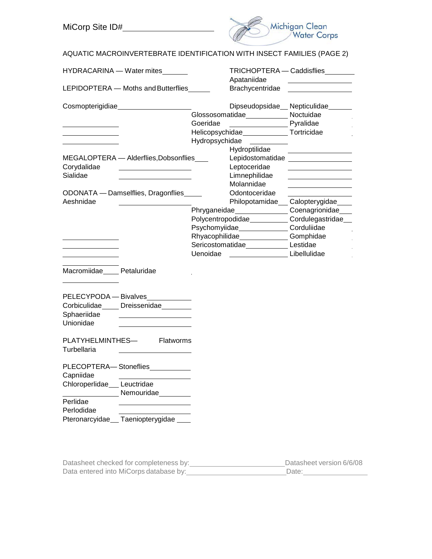|                                                                                | MiCorp Site ID# 2007                                                                                              |                            |                                                                                                                                                                            | Michigan Clean<br><b>Water Corps</b>                                                      |
|--------------------------------------------------------------------------------|-------------------------------------------------------------------------------------------------------------------|----------------------------|----------------------------------------------------------------------------------------------------------------------------------------------------------------------------|-------------------------------------------------------------------------------------------|
|                                                                                | AQUATIC MACROINVERTEBRATE IDENTIFICATION WITH INSECT FAMILIES (PAGE 2)                                            |                            |                                                                                                                                                                            |                                                                                           |
|                                                                                | HYDRACARINA — Water mites                                                                                         |                            | Apataniidae                                                                                                                                                                | TRICHOPTERA — Caddisflies                                                                 |
|                                                                                | LEPIDOPTERA - Moths and Butterflies                                                                               |                            | Brachycentridae                                                                                                                                                            |                                                                                           |
| Cosmopterigidiae                                                               |                                                                                                                   | Goeridae<br>Hydropsychidae | Dipseudopsidae Nepticulidae<br>Glossosomatidae______________ Noctuidae<br>Pyralidae<br>Helicopsychidae______________Tortricidae                                            |                                                                                           |
| Corydalidae<br>Sialidae                                                        | MEGALOPTERA - Alderflies, Dobsonflies                                                                             |                            | Hydroptilidae<br>Leptoceridae<br>Limnephilidae<br>Molannidae                                                                                                               | <u> 1980 - Johann Barbara, martxa alemani</u> ar a<br>Lepidostomatidae __________________ |
| Aeshnidae                                                                      | ODONATA - Damselflies, Dragonflies                                                                                | Uenoidae                   | Odontoceridae<br>Philopotamidae Calopterygidae<br>Polycentropodidae Sale Cordulegastridae  Long<br>Psychomyiidae Sandar Corduliidae<br>Sericostomatidae Lestidae  Lestidae | Libellulidae                                                                              |
| Macromiidae Petaluridae                                                        |                                                                                                                   |                            |                                                                                                                                                                            |                                                                                           |
| Sphaeriidae<br>Unionidae                                                       | PELECYPODA - Bivalves<br>Corbiculidae __ Dreissenidae ______<br><u> 1986 - John Stone, amerikansk politiker (</u> |                            |                                                                                                                                                                            |                                                                                           |
| PLATYHELMINTHES-<br>Turbellaria                                                | Flatworms                                                                                                         |                            |                                                                                                                                                                            |                                                                                           |
| PLECOPTERA-Stoneflies<br>Capniidae<br>Chloroperlidae<br>Perlidae<br>Perlodidae | Leuctridae<br>Nemouridae<br>Pteronarcyidae__ Taeniopterygidae__                                                   |                            |                                                                                                                                                                            |                                                                                           |

| Data entered into MiCorps database by:<br>Date: |  |
|-------------------------------------------------|--|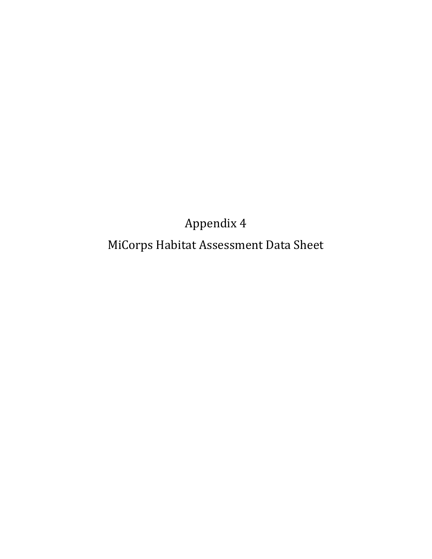Appendix 4 MiCorps Habitat Assessment Data Sheet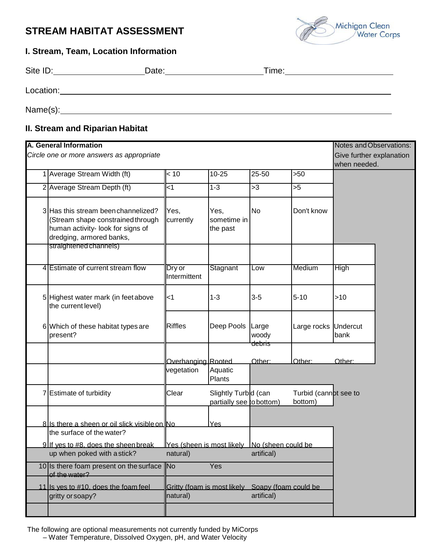# **STREAM HABITAT ASSESSMENT**



## **I. Stream, Team, Location Information**

| Site ID:  | Date: | Time: |
|-----------|-------|-------|
| Location: |       |       |
| Name(s):  |       |       |

## **II. Stream and Riparian Habitat**

|                                           | <b>A. General Information</b>                                                                                                                                       |                                                              |                                                  |                                  |                                  | Notes and Observations: |  |
|-------------------------------------------|---------------------------------------------------------------------------------------------------------------------------------------------------------------------|--------------------------------------------------------------|--------------------------------------------------|----------------------------------|----------------------------------|-------------------------|--|
| Circle one or more answers as appropriate |                                                                                                                                                                     |                                                              |                                                  |                                  | Give further explanation         |                         |  |
|                                           |                                                                                                                                                                     |                                                              |                                                  |                                  |                                  | when needed.            |  |
|                                           | 1 Average Stream Width (ft)                                                                                                                                         | $\vert$ < 10                                                 | $10 - 25$                                        | 25-50                            | >50                              |                         |  |
|                                           | 2 Average Stream Depth (ft)                                                                                                                                         | $\leq$ 1                                                     | $1 - 3$                                          | >3                               | >5                               |                         |  |
|                                           | 3 Has this stream been channelized?<br>(Stream shape constrained through<br>human activity- look for signs of<br>dredging, armored banks,<br>straightened channels) | ∥Yes,<br>currently                                           | Yes,<br>sometime in<br>the past                  | No                               | Don't know                       |                         |  |
|                                           | 4 Estimate of current stream flow                                                                                                                                   | Dry or<br>Intermittent                                       | Stagnant                                         | Low                              | <b>Medium</b>                    | <b>High</b>             |  |
|                                           | 5 Highest water mark (in feet above<br>the current level)                                                                                                           | ll<1                                                         | $1 - 3$                                          | $3-5$                            | $5 - 10$                         | $>10$                   |  |
|                                           | 6 Which of these habitat types are<br>present?                                                                                                                      | Riffles                                                      | Deep Pools                                       | Large<br>woody<br>debris         | Large rocks Undercut             | bank                    |  |
|                                           |                                                                                                                                                                     |                                                              |                                                  |                                  |                                  |                         |  |
|                                           |                                                                                                                                                                     | Overhanging Rooted<br>vegetation                             | Aquatic<br>Plants                                | Other:                           | Other:                           | Other:                  |  |
|                                           | 7 Estimate of turbidity                                                                                                                                             | Clear                                                        | Slightly Turbid (can<br>partially see to bottom) |                                  | Turbid (cannpt see to<br>bottom) |                         |  |
|                                           | 8 Is there a sheen or oil slick visible on No<br>the surface of the water?                                                                                          |                                                              | Yes                                              |                                  |                                  |                         |  |
|                                           | 9If yes to #8, does the sheen break<br>up when poked with a stick?                                                                                                  | <u>llYes (sheen is most likelv</u><br>natural)               |                                                  | No (sheen could be<br>artifical) |                                  |                         |  |
|                                           | 10 Is there foam present on the surface No<br>of the water?                                                                                                         |                                                              | Yes                                              |                                  |                                  |                         |  |
|                                           | 11 Is yes to #10, does the foam feel<br>gritty or soapy?                                                                                                            | Gritty (foam is most likely Soapy (foam could be<br>natural) |                                                  | artifical)                       |                                  |                         |  |
|                                           |                                                                                                                                                                     |                                                              |                                                  |                                  |                                  |                         |  |

The following are optional measurements not currently funded by MiCorps

– Water Temperature, Dissolved Oxygen, pH, and Water Velocity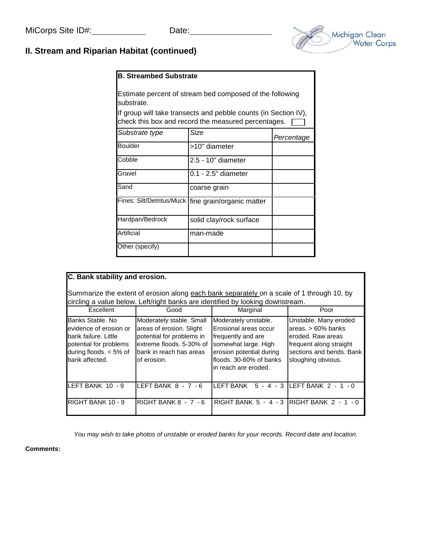

## **II. Stream and Riparian Habitat (continued)**

| Estimate percent of stream bed composed of the following<br>lsubstrate.<br>If group will take transects and pebble counts (in Section IV),<br>check this box and record the measured percentages. |                           |            |  |  |  |  |
|---------------------------------------------------------------------------------------------------------------------------------------------------------------------------------------------------|---------------------------|------------|--|--|--|--|
| Substrate type                                                                                                                                                                                    | Size                      | Percentage |  |  |  |  |
| <b>Boulder</b>                                                                                                                                                                                    | >10" diameter             |            |  |  |  |  |
| Cobble                                                                                                                                                                                            | 2.5 - 10" diameter        |            |  |  |  |  |
| Gravel                                                                                                                                                                                            | $0.1 - 2.5"$ diameter     |            |  |  |  |  |
| Sand                                                                                                                                                                                              | coarse grain              |            |  |  |  |  |
| Fines: Silt/Detritus/Muck                                                                                                                                                                         | fine grain/organic matter |            |  |  |  |  |
| Hardpan/Bedrock                                                                                                                                                                                   | solid clay/rock surface   |            |  |  |  |  |
| Artificial                                                                                                                                                                                        | man-made                  |            |  |  |  |  |
| Other (specify)                                                                                                                                                                                   |                           |            |  |  |  |  |

## **C. Bank stability and erosion.**

Summarize the extent of erosion along each bank separately on a scale of 1 through 10, by circling a value below. Left/right banks are identified by looking downstream.

| Excellent                                                                                                                                  | Good                                                                                                                                                    | Marginal                                                                                                                                                                   | Poor                                                                                                                                             |
|--------------------------------------------------------------------------------------------------------------------------------------------|---------------------------------------------------------------------------------------------------------------------------------------------------------|----------------------------------------------------------------------------------------------------------------------------------------------------------------------------|--------------------------------------------------------------------------------------------------------------------------------------------------|
| Banks Stable. No<br>evidence of erosion or<br>bank failure. Little<br>potential for problems<br>during floods. $<$ 5% of<br>bank affected. | Moderately stable. Small<br>areas of erosion. Slight<br>potential for problems in<br>extreme floods, 5-30% of<br>bank in reach has areas<br>of erosion. | Moderately unstable.<br>Erosional areas occur<br>frequently and are<br>somewhat large. High<br>erosion potential during<br>floods, 30-60% of banks<br>in reach are eroded. | Unstable. Many eroded<br>areas. $> 60\%$ banks<br>eroded. Raw areas<br>frequent along straight<br>sections and bends. Bank<br>sloughing obvious. |
| LEFT BANK 10 - 9                                                                                                                           | LEFT BANK 8 - 7 - 6                                                                                                                                     | LEFT BANK                                                                                                                                                                  | $5 - 4 - 3$ LEFT BANK $2 - 1 - 0$                                                                                                                |
| RIGHT BANK 10 - 9                                                                                                                          | RIGHT BANK 8 - 7 - 6                                                                                                                                    | RIGHT BANK 5 - 4 - 3 IRIGHT BANK 2 - 1 - 0                                                                                                                                 |                                                                                                                                                  |

*You may wish to take photos of unstable or eroded banks for your records. Record date and location.*

#### **Comments:**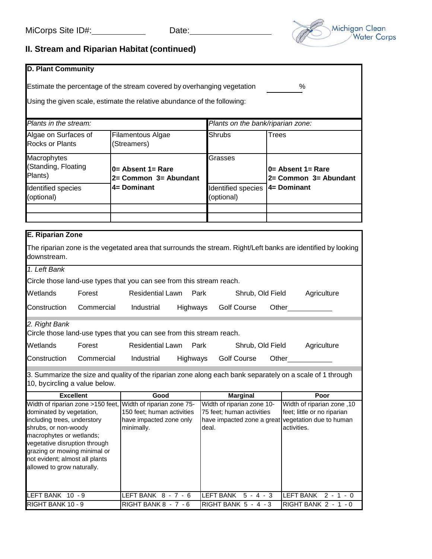

## **II. Stream and Riparian Habitat (continued)**

#### **D. Plant Community**

Estimate the percentage of the stream covered by overhanging vegetation  $\%$ 

Using the given scale, estimate the relative abundance of the following:

| Plants in the stream:                          |                                                   | Plants on the bank/riparian zone: |                                                    |
|------------------------------------------------|---------------------------------------------------|-----------------------------------|----------------------------------------------------|
| Algae on Surfaces of<br><b>Rocks or Plants</b> | <b>Filamentous Algae</b><br>(Streamers)           | <b>Shrubs</b>                     | Trees                                              |
| Macrophytes<br>(Standing, Floating<br>Plants)  | $0=$ Absent 1 = Rare<br>$2=$ Common $3=$ Abundant | Grasses                           | <b>O</b> = Absent 1= Rare<br>2= Common 3= Abundant |
| Identified species<br>(optional)               | 4= Dominant                                       | Identified species<br>(optional)  | 4= Dominant                                        |
|                                                |                                                   |                                   |                                                    |
|                                                |                                                   |                                   |                                                    |

#### **E. Riparian Zone**

The riparian zone is the vegetated area that surrounds the stream. Right/Left banks are identified by looking downstream.

*1. Left Bank*

Circle those land-use types that you can see from this stream reach.

| Wetlands     | Forest     | Residential Lawn Park |  | Shrub, Old Field |                      |       | Agriculture |
|--------------|------------|-----------------------|--|------------------|----------------------|-------|-------------|
| Construction | Commercial | Industrial            |  |                  | Highways Golf Course | Other |             |

#### *2. Right Bank*

Circle those land-use types that you can see from this stream reach.

| Wetlands     | Forest     | Residential Lawn | Park     | Shrub, Old Field   |       | Agriculture |
|--------------|------------|------------------|----------|--------------------|-------|-------------|
| Construction | Commercial | Industrial       | Highways | <b>Golf Course</b> | Other |             |

3. Summarize the size and quality of the riparian zone along each bank separately on a scale of 1 through 10, bycircling a value below.

| <b>Excellent</b>                                                                                                                                                                                                                                                                                             | Good                                                                | <b>Marginal</b>                                                                                                        | Poor                                                                     |
|--------------------------------------------------------------------------------------------------------------------------------------------------------------------------------------------------------------------------------------------------------------------------------------------------------------|---------------------------------------------------------------------|------------------------------------------------------------------------------------------------------------------------|--------------------------------------------------------------------------|
| Width of riparian zone >150 feet, Width of riparian zone 75-<br>dominated by vegetation,<br>including trees, understory<br>shrubs, or non-woody<br>macrophytes or wetlands;<br>vegetative disruption through<br>grazing or mowing minimal or<br>not evident; almost all plants<br>allowed to grow naturally. | 150 feet; human activities<br>have impacted zone only<br>minimally. | Width of riparian zone 10-<br>75 feet; human activities<br>have impacted zone a great vegetation due to human<br>deal. | 10, Width of riparian zone<br>feet; little or no riparian<br>activities. |
| <b>LEFT BANK</b><br>$10 - 9$                                                                                                                                                                                                                                                                                 | LEFT BANK 8<br>$-7 - 6$                                             | <b>LEFT BANK</b><br>$4 - 3$<br>5.                                                                                      | <b>LEFT BANK</b><br>$2 -$<br>$1 - 0$                                     |
| <b>RIGHT BANK 10 - 9</b>                                                                                                                                                                                                                                                                                     | RIGHT BANK $8 - 7 - 6$                                              | IRIGHT BANK<br>$4 - 3$<br>.5<br>$\sim$                                                                                 | RIGHT BANK 2 -<br>$1 - 0$                                                |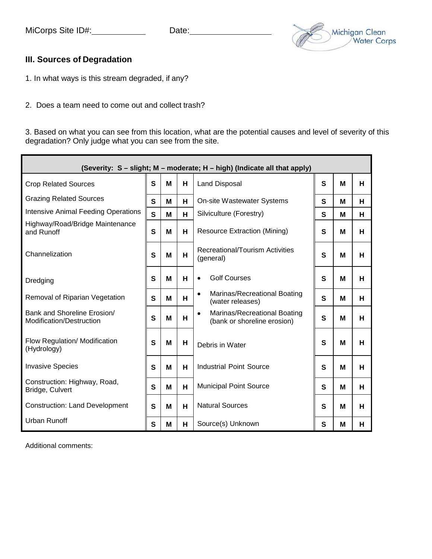

## **III. Sources of Degradation**

1. In what ways is this stream degraded, if any?

2. Does a team need to come out and collect trash?

3. Based on what you can see from this location, what are the potential causes and level of severity of this degradation? Only judge what you can see from the site.

| (Severity: S – slight; M – moderate; H – high) (Indicate all that apply) |              |   |    |                                                                          |              |   |   |  |  |  |
|--------------------------------------------------------------------------|--------------|---|----|--------------------------------------------------------------------------|--------------|---|---|--|--|--|
| <b>Crop Related Sources</b>                                              | S            | Μ | н  | <b>Land Disposal</b>                                                     | S            | M | н |  |  |  |
| <b>Grazing Related Sources</b>                                           | $\mathbf{s}$ | М | H  | <b>On-site Wastewater Systems</b>                                        | $\mathbf{s}$ | M | н |  |  |  |
| <b>Intensive Animal Feeding Operations</b>                               | S            | Μ | H. | Silviculture (Forestry)                                                  | S            | M | н |  |  |  |
| Highway/Road/Bridge Maintenance<br>and Runoff                            | S            | м | н  | <b>Resource Extraction (Mining)</b>                                      | S            | М | н |  |  |  |
| Channelization                                                           | S            | м | Н  | <b>Recreational/Tourism Activities</b><br>(general)                      | S            | М | н |  |  |  |
| Dredging                                                                 | S            | М | H  | <b>Golf Courses</b><br>$\bullet$                                         | S            | M | н |  |  |  |
| Removal of Riparian Vegetation                                           | $\mathbf{s}$ | М | н  | Marinas/Recreational Boating<br>$\bullet$<br>(water releases)            | S            | M | н |  |  |  |
| Bank and Shoreline Erosion/<br>Modification/Destruction                  | S            | М | н  | Marinas/Recreational Boating<br>$\bullet$<br>(bank or shoreline erosion) | S            | М | н |  |  |  |
| Flow Regulation/ Modification<br>(Hydrology)                             | S            | М | Н  | Debris in Water                                                          | S            | М | н |  |  |  |
| <b>Invasive Species</b>                                                  | S            | M | н  | <b>Industrial Point Source</b>                                           | S            | M | н |  |  |  |
| Construction: Highway, Road,<br>Bridge, Culvert                          | S            | М | н  | <b>Municipal Point Source</b>                                            | S            | М | н |  |  |  |
| <b>Construction: Land Development</b>                                    | S            | М | Н  | <b>Natural Sources</b>                                                   | S            | М | н |  |  |  |
| <b>Urban Runoff</b>                                                      | S            | М | н  | Source(s) Unknown                                                        | S            | M | н |  |  |  |

Additional comments: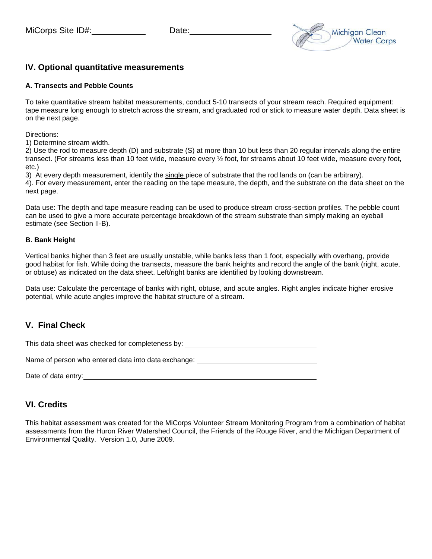

## **IV. Optional quantitative measurements**

#### **A. Transects and Pebble Counts**

To take quantitative stream habitat measurements, conduct 5-10 transects of your stream reach. Required equipment: tape measure long enough to stretch across the stream, and graduated rod or stick to measure water depth. Data sheet is on the next page.

Directions:

1) Determine stream width.

2) Use the rod to measure depth (D) and substrate (S) at more than 10 but less than 20 regular intervals along the entire transect. (For streams less than 10 feet wide, measure every ½ foot, for streams about 10 feet wide, measure every foot, etc.)

3) At every depth measurement, identify the single piece of substrate that the rod lands on (can be arbitrary).

4). For every measurement, enter the reading on the tape measure, the depth, and the substrate on the data sheet on the next page.

Data use: The depth and tape measure reading can be used to produce stream cross-section profiles. The pebble count can be used to give a more accurate percentage breakdown of the stream substrate than simply making an eyeball estimate (see Section II-B).

#### **B. Bank Height**

Vertical banks higher than 3 feet are usually unstable, while banks less than 1 foot, especially with overhang, provide good habitat for fish. While doing the transects, measure the bank heights and record the angle of the bank (right, acute, or obtuse) as indicated on the data sheet. Left/right banks are identified by looking downstream.

Data use: Calculate the percentage of banks with right, obtuse, and acute angles. Right angles indicate higher erosive potential, while acute angles improve the habitat structure of a stream.

## **V. Final Check**

This data sheet was checked for completeness by: \_\_\_\_\_\_\_\_\_\_\_\_\_\_\_\_\_\_\_\_\_\_\_\_\_\_\_\_\_\_\_\_

Name of person who entered data into data exchange: \_\_\_\_\_\_\_\_\_\_\_\_\_\_\_\_\_\_\_\_\_\_\_\_\_\_\_\_

Date of data entry:  $\frac{1}{2}$  and  $\frac{1}{2}$  and  $\frac{1}{2}$  and  $\frac{1}{2}$  and  $\frac{1}{2}$  and  $\frac{1}{2}$  and  $\frac{1}{2}$  and  $\frac{1}{2}$  and  $\frac{1}{2}$  and  $\frac{1}{2}$  and  $\frac{1}{2}$  and  $\frac{1}{2}$  and  $\frac{1}{2}$  and  $\frac{1}{2}$  and  $\frac{1}{$ 

## **VI. Credits**

This habitat assessment was created for the MiCorps Volunteer Stream Monitoring Program from a combination of habitat assessments from the Huron River Watershed Council, the Friends of the Rouge River, and the Michigan Department of Environmental Quality. Version 1.0, June 2009.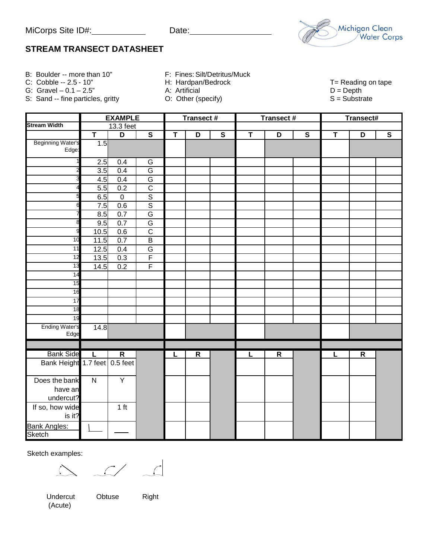

## **STREAM TRANSECT DATASHEET**

- B: Boulder -- more than 10" F: Fines: Silt/Detritus/Muck<br>C: Cobble -- 2.5 10" H: Hardpan/Bedrock
- 
- 
- 
- G: Gravel 0.1 2.5"<br>
G: Sand -- fine particles, gritty  $\begin{array}{ccc} A: \text{ Artificial} & \text{D = Depth} \\ S: \text{ Sand -- fine particles, gritty} & \text{O: Other (specify)} \\ \end{array}$ S: Sand -- fine particles, gritty
	-
- H: Hardpan/Bedrock T= Reading on tape<br>A: Artificial D = Depth
	-

|                                   |                   | <b>EXAMPLE</b>          |                         | Transect # |                         | Transect #   |             |                         | Transect#    |   |                         |              |
|-----------------------------------|-------------------|-------------------------|-------------------------|------------|-------------------------|--------------|-------------|-------------------------|--------------|---|-------------------------|--------------|
| <b>Stream Width</b>               |                   | 13.3 feet               |                         |            |                         |              |             |                         |              |   |                         |              |
|                                   | T                 | $\overline{\mathsf{D}}$ | $\overline{s}$          | T          | D                       | $\mathbf{s}$ | $\mathbf T$ | D                       | $\mathbf{s}$ | T | D                       | $\mathbf{s}$ |
| <b>Beginning Water's</b><br>Edge: | 1.5               |                         |                         |            |                         |              |             |                         |              |   |                         |              |
|                                   | 2.5               | 0.4                     | $\overline{G}$          |            |                         |              |             |                         |              |   |                         |              |
|                                   | 3.5               | 0.4                     | $\overline{G}$          |            |                         |              |             |                         |              |   |                         |              |
|                                   | 4.5               | 0.4                     | $\overline{G}$          |            |                         |              |             |                         |              |   |                         |              |
|                                   | 5.5               | 0.2                     | $\overline{C}$          |            |                         |              |             |                         |              |   |                         |              |
|                                   | 6.5               | $\overline{0}$          | $\overline{s}$          |            |                         |              |             |                         |              |   |                         |              |
| 6                                 | 7.5               | 0.6                     | $\overline{\mathsf{s}}$ |            |                         |              |             |                         |              |   |                         |              |
|                                   | 8.5               | 0.7                     | $\overline{G}$          |            |                         |              |             |                         |              |   |                         |              |
| 8                                 | 9.5               | 0.7                     | $\overline{G}$          |            |                         |              |             |                         |              |   |                         |              |
| 9                                 | 10.5              | 0.6                     | $\overline{\mathsf{C}}$ |            |                         |              |             |                         |              |   |                         |              |
| 10                                | 11.5              | $\overline{0.7}$        | $\overline{B}$          |            |                         |              |             |                         |              |   |                         |              |
| 11                                | 12.5              | 0.4                     | $\overline{\mathsf{G}}$ |            |                         |              |             |                         |              |   |                         |              |
| 12                                | 13.5              | 0.3                     | F                       |            |                         |              |             |                         |              |   |                         |              |
| 13                                | 14.5              | 0.2                     | F                       |            |                         |              |             |                         |              |   |                         |              |
| 14                                |                   |                         |                         |            |                         |              |             |                         |              |   |                         |              |
| 15                                |                   |                         |                         |            |                         |              |             |                         |              |   |                         |              |
| 16                                |                   |                         |                         |            |                         |              |             |                         |              |   |                         |              |
| 17                                |                   |                         |                         |            |                         |              |             |                         |              |   |                         |              |
| 18                                |                   |                         |                         |            |                         |              |             |                         |              |   |                         |              |
| 19                                |                   |                         |                         |            |                         |              |             |                         |              |   |                         |              |
| <b>Ending Water's</b><br>Edge     | $\overline{14.8}$ |                         |                         |            |                         |              |             |                         |              |   |                         |              |
|                                   |                   |                         |                         |            |                         |              |             |                         |              |   |                         |              |
| <b>Bank Side</b>                  | L                 | $\overline{\mathsf{R}}$ |                         | L          | $\overline{\mathsf{R}}$ |              | L           | $\overline{\mathsf{R}}$ |              | L | $\overline{\mathsf{R}}$ |              |
| Bank Height 1.7 feet 0.5 feet     |                   |                         |                         |            |                         |              |             |                         |              |   |                         |              |
| Does the bank                     | N                 | Y                       |                         |            |                         |              |             |                         |              |   |                         |              |
| have an                           |                   |                         |                         |            |                         |              |             |                         |              |   |                         |              |
| undercut?                         |                   |                         |                         |            |                         |              |             |                         |              |   |                         |              |
| If so, how wide                   |                   | $1$ ft                  |                         |            |                         |              |             |                         |              |   |                         |              |
| is it?                            |                   |                         |                         |            |                         |              |             |                         |              |   |                         |              |
| <b>Bank Angles:</b>               |                   |                         |                         |            |                         |              |             |                         |              |   |                         |              |
| <b>Sketch</b>                     |                   |                         |                         |            |                         |              |             |                         |              |   |                         |              |

Sketch examples:

Undercut Obtuse Right (Acute)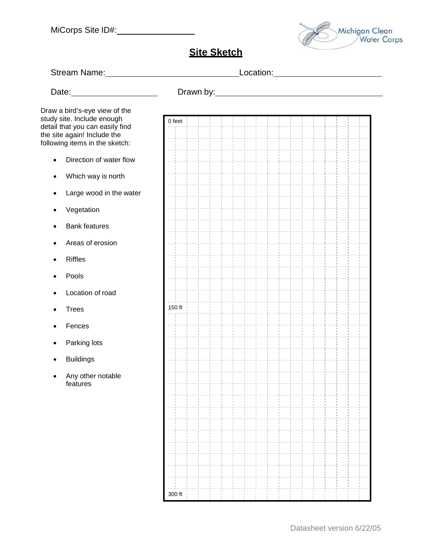

# **Site Sketch**

| Stream Name: Manual Manual Manual Manual Manual Manual Manual Manual Manual Manual Manual Manual Manual Manual | Location: <u>contract and a series of the series of the series of the series of the series of the series of the series of the series of the series of the series of the series of the series of the series of the series of the </u> |  |  |  |  |  |  |  |  |  |  |
|----------------------------------------------------------------------------------------------------------------|--------------------------------------------------------------------------------------------------------------------------------------------------------------------------------------------------------------------------------------|--|--|--|--|--|--|--|--|--|--|
|                                                                                                                |                                                                                                                                                                                                                                      |  |  |  |  |  |  |  |  |  |  |
| Draw a bird's-eye view of the<br>study site. Include enough<br>detail that you can easily find                 | 0 feet                                                                                                                                                                                                                               |  |  |  |  |  |  |  |  |  |  |
| the site again! Include the<br>following items in the sketch:                                                  |                                                                                                                                                                                                                                      |  |  |  |  |  |  |  |  |  |  |
| Direction of water flow                                                                                        |                                                                                                                                                                                                                                      |  |  |  |  |  |  |  |  |  |  |
| Which way is north                                                                                             |                                                                                                                                                                                                                                      |  |  |  |  |  |  |  |  |  |  |
| Large wood in the water                                                                                        |                                                                                                                                                                                                                                      |  |  |  |  |  |  |  |  |  |  |
| Vegetation                                                                                                     |                                                                                                                                                                                                                                      |  |  |  |  |  |  |  |  |  |  |
| <b>Bank features</b><br>Areas of erosion                                                                       |                                                                                                                                                                                                                                      |  |  |  |  |  |  |  |  |  |  |
| <b>Riffles</b>                                                                                                 |                                                                                                                                                                                                                                      |  |  |  |  |  |  |  |  |  |  |
| Pools                                                                                                          |                                                                                                                                                                                                                                      |  |  |  |  |  |  |  |  |  |  |
| Location of road                                                                                               |                                                                                                                                                                                                                                      |  |  |  |  |  |  |  |  |  |  |
| <b>Trees</b>                                                                                                   | 150 ft                                                                                                                                                                                                                               |  |  |  |  |  |  |  |  |  |  |
| Fences                                                                                                         |                                                                                                                                                                                                                                      |  |  |  |  |  |  |  |  |  |  |
| Parking lots                                                                                                   |                                                                                                                                                                                                                                      |  |  |  |  |  |  |  |  |  |  |
| <b>Buildings</b>                                                                                               | $\frac{1}{1} - \frac{1}{1} - \frac{1}{1} - \frac{1}{1} - \frac{1}{1} - \frac{1}{1} - \frac{1}{1} - \frac{1}{1} - \cdots$                                                                                                             |  |  |  |  |  |  |  |  |  |  |
| Any other notable<br>features                                                                                  |                                                                                                                                                                                                                                      |  |  |  |  |  |  |  |  |  |  |
|                                                                                                                |                                                                                                                                                                                                                                      |  |  |  |  |  |  |  |  |  |  |
|                                                                                                                |                                                                                                                                                                                                                                      |  |  |  |  |  |  |  |  |  |  |
|                                                                                                                |                                                                                                                                                                                                                                      |  |  |  |  |  |  |  |  |  |  |
|                                                                                                                |                                                                                                                                                                                                                                      |  |  |  |  |  |  |  |  |  |  |
|                                                                                                                |                                                                                                                                                                                                                                      |  |  |  |  |  |  |  |  |  |  |
|                                                                                                                | $300\,\mathrm{ft}$                                                                                                                                                                                                                   |  |  |  |  |  |  |  |  |  |  |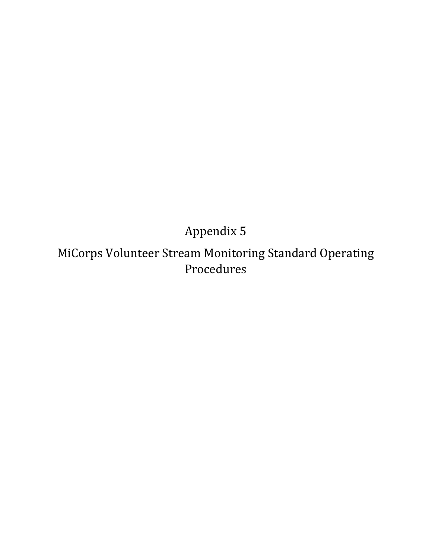Appendix 5

MiCorps Volunteer Stream Monitoring Standard Operating Procedures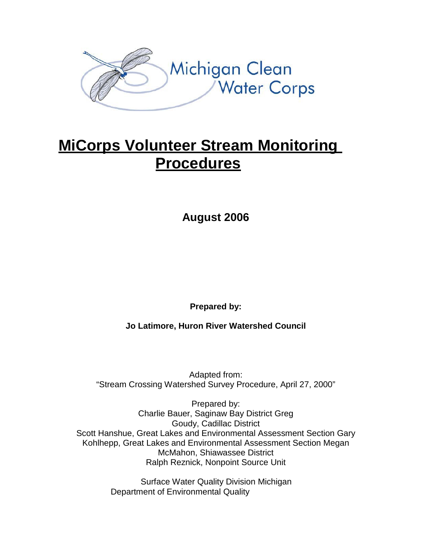

# **MiCorps Volunteer Stream Monitoring Procedures**

**August 2006**

**Prepared by:**

**Jo Latimore, Huron River Watershed Council**

Adapted from: "Stream Crossing Watershed Survey Procedure, April 27, 2000"

Prepared by: Charlie Bauer, Saginaw Bay District Greg Goudy, Cadillac District Scott Hanshue, Great Lakes and Environmental Assessment Section Gary Kohlhepp, Great Lakes and Environmental Assessment Section Megan McMahon, Shiawassee District Ralph Reznick, Nonpoint Source Unit

> Surface Water Quality Division Michigan Department of Environmental Quality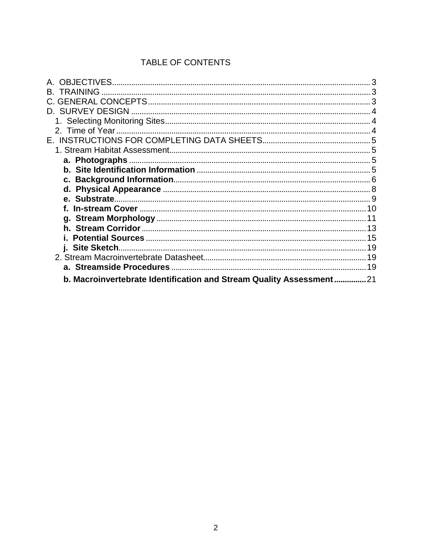# TABLE OF CONTENTS

| <b>TRAINING</b><br>B.                                               |    |
|---------------------------------------------------------------------|----|
|                                                                     |    |
|                                                                     |    |
|                                                                     |    |
|                                                                     |    |
|                                                                     |    |
|                                                                     |    |
|                                                                     |    |
|                                                                     |    |
|                                                                     |    |
|                                                                     |    |
|                                                                     |    |
|                                                                     |    |
|                                                                     |    |
|                                                                     |    |
|                                                                     |    |
| j. Site Sketch.                                                     |    |
|                                                                     |    |
|                                                                     | 19 |
| b. Macroinvertebrate Identification and Stream Quality Assessment21 |    |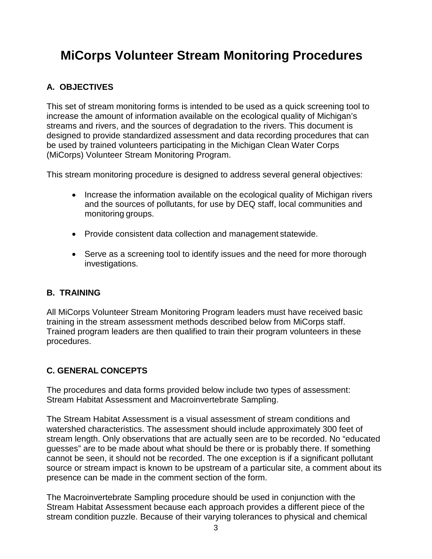# **MiCorps Volunteer Stream Monitoring Procedures**

## **A. OBJECTIVES**

This set of stream monitoring forms is intended to be used as a quick screening tool to increase the amount of information available on the ecological quality of Michigan's streams and rivers, and the sources of degradation to the rivers. This document is designed to provide standardized assessment and data recording procedures that can be used by trained volunteers participating in the Michigan Clean Water Corps (MiCorps) Volunteer Stream Monitoring Program.

This stream monitoring procedure is designed to address several general objectives:

- Increase the information available on the ecological quality of Michigan rivers and the sources of pollutants, for use by DEQ staff, local communities and monitoring groups.
- Provide consistent data collection and management statewide.
- Serve as a screening tool to identify issues and the need for more thorough investigations.

## **B. TRAINING**

All MiCorps Volunteer Stream Monitoring Program leaders must have received basic training in the stream assessment methods described below from MiCorps staff. Trained program leaders are then qualified to train their program volunteers in these procedures.

## **C. GENERAL CONCEPTS**

The procedures and data forms provided below include two types of assessment: Stream Habitat Assessment and Macroinvertebrate Sampling.

The Stream Habitat Assessment is a visual assessment of stream conditions and watershed characteristics. The assessment should include approximately 300 feet of stream length. Only observations that are actually seen are to be recorded. No "educated guesses" are to be made about what should be there or is probably there. If something cannot be seen, it should not be recorded. The one exception is if a significant pollutant source or stream impact is known to be upstream of a particular site, a comment about its presence can be made in the comment section of the form.

The Macroinvertebrate Sampling procedure should be used in conjunction with the Stream Habitat Assessment because each approach provides a different piece of the stream condition puzzle. Because of their varying tolerances to physical and chemical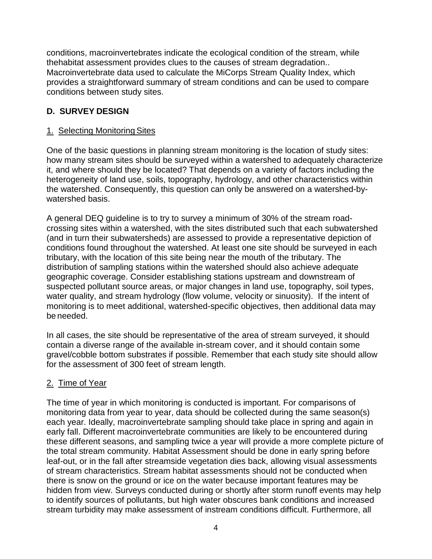conditions, macroinvertebrates indicate the ecological condition of the stream, while thehabitat assessment provides clues to the causes of stream degradation.. Macroinvertebrate data used to calculate the MiCorps Stream Quality Index, which provides a straightforward summary of stream conditions and can be used to compare conditions between study sites.

## **D. SURVEY DESIGN**

## 1. Selecting Monitoring Sites

One of the basic questions in planning stream monitoring is the location of study sites: how many stream sites should be surveyed within a watershed to adequately characterize it, and where should they be located? That depends on a variety of factors including the heterogeneity of land use, soils, topography, hydrology, and other characteristics within the watershed. Consequently, this question can only be answered on a watershed-bywatershed basis.

A general DEQ guideline is to try to survey a minimum of 30% of the stream roadcrossing sites within a watershed, with the sites distributed such that each subwatershed (and in turn their subwatersheds) are assessed to provide a representative depiction of conditions found throughout the watershed. At least one site should be surveyed in each tributary, with the location of this site being near the mouth of the tributary. The distribution of sampling stations within the watershed should also achieve adequate geographic coverage. Consider establishing stations upstream and downstream of suspected pollutant source areas, or major changes in land use, topography, soil types, water quality, and stream hydrology (flow volume, velocity or sinuosity). If the intent of monitoring is to meet additional, watershed-specific objectives, then additional data may be needed.

In all cases, the site should be representative of the area of stream surveyed, it should contain a diverse range of the available in-stream cover, and it should contain some gravel/cobble bottom substrates if possible. Remember that each study site should allow for the assessment of 300 feet of stream length.

## 2. Time of Year

The time of year in which monitoring is conducted is important. For comparisons of monitoring data from year to year, data should be collected during the same season(s) each year. Ideally, macroinvertebrate sampling should take place in spring and again in early fall. Different macroinvertebrate communities are likely to be encountered during these different seasons, and sampling twice a year will provide a more complete picture of the total stream community. Habitat Assessment should be done in early spring before leaf-out, or in the fall after streamside vegetation dies back, allowing visual assessments of stream characteristics. Stream habitat assessments should not be conducted when there is snow on the ground or ice on the water because important features may be hidden from view. Surveys conducted during or shortly after storm runoff events may help to identify sources of pollutants, but high water obscures bank conditions and increased stream turbidity may make assessment of instream conditions difficult. Furthermore, all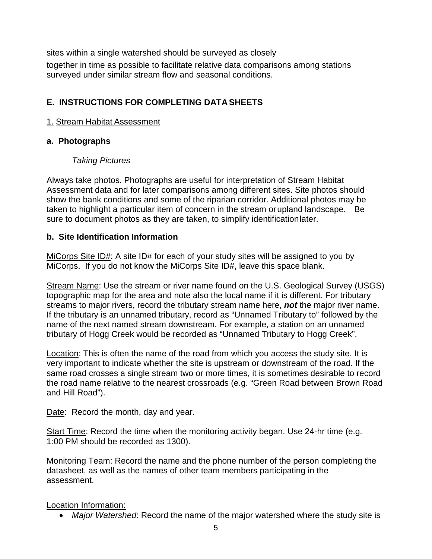sites within a single watershed should be surveyed as closely together in time as possible to facilitate relative data comparisons among stations surveyed under similar stream flow and seasonal conditions.

## **E. INSTRUCTIONS FOR COMPLETING DATA SHEETS**

## 1. Stream Habitat Assessment

## **a. Photographs**

## *Taking Pictures*

Always take photos. Photographs are useful for interpretation of Stream Habitat Assessment data and for later comparisons among different sites. Site photos should show the bank conditions and some of the riparian corridor. Additional photos may be taken to highlight a particular item of concern in the stream orupland landscape. Be sure to document photos as they are taken, to simplify identificationlater.

## **b. Site Identification Information**

MiCorps Site ID#: A site ID# for each of your study sites will be assigned to you by MiCorps. If you do not know the MiCorps Site ID#, leave this space blank.

Stream Name: Use the stream or river name found on the U.S. Geological Survey (USGS) topographic map for the area and note also the local name if it is different. For tributary streams to major rivers, record the tributary stream name here, *not* the major river name. If the tributary is an unnamed tributary, record as "Unnamed Tributary to" followed by the name of the next named stream downstream. For example, a station on an unnamed tributary of Hogg Creek would be recorded as "Unnamed Tributary to Hogg Creek".

Location: This is often the name of the road from which you access the study site. It is very important to indicate whether the site is upstream or downstream of the road. If the same road crosses a single stream two or more times, it is sometimes desirable to record the road name relative to the nearest crossroads (e.g. "Green Road between Brown Road and Hill Road").

Date: Record the month, day and year.

Start Time: Record the time when the monitoring activity began. Use 24-hr time (e.g. 1:00 PM should be recorded as 1300).

Monitoring Team: Record the name and the phone number of the person completing the datasheet, as well as the names of other team members participating in the assessment.

## Location Information:

• *Major Watershed*: Record the name of the major watershed where the study site is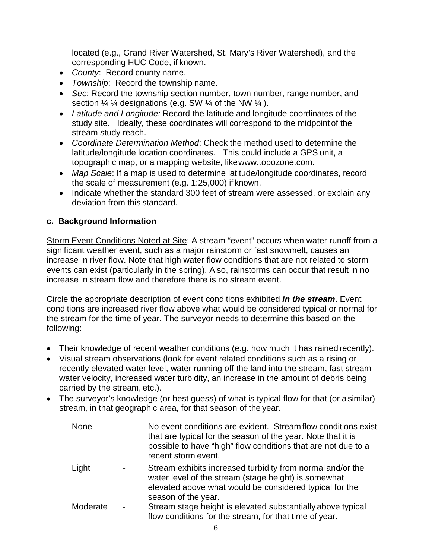located (e.g., Grand River Watershed, St. Mary's River Watershed), and the corresponding HUC Code, if known.

- *County*: Record county name.
- *Township*: Record the township name.
- *Sec*: Record the township section number, town number, range number, and section  $\frac{1}{4}$  % designations (e.g. SW  $\frac{1}{4}$  of the NW  $\frac{1}{4}$ ).
- *Latitude and Longitude:* Record the latitude and longitude coordinates of the study site. Ideally, these coordinates will correspond to the midpoint of the stream study reach.
- *Coordinate Determination Method*: Check the method used to determine the latitude/longitude location coordinates. This could include a GPS unit, a topographic map, or a mapping website, lik[ewww.topozone.com.](http://www.topozone.com/)
- *Map Scale*: If a map is used to determine latitude/longitude coordinates, record the scale of measurement (e.g. 1:25,000) if known.
- Indicate whether the standard 300 feet of stream were assessed, or explain any deviation from this standard.

## **c. Background Information**

Storm Event Conditions Noted at Site: A stream "event" occurs when water runoff from a significant weather event, such as a major rainstorm or fast snowmelt, causes an increase in river flow. Note that high water flow conditions that are not related to storm events can exist (particularly in the spring). Also, rainstorms can occur that result in no increase in stream flow and therefore there is no stream event.

Circle the appropriate description of event conditions exhibited *in the stream*. Event conditions are increased river flow above what would be considered typical or normal for the stream for the time of year. The surveyor needs to determine this based on the following:

- Their knowledge of recent weather conditions (e.g. how much it has rained recently).
- Visual stream observations (look for event related conditions such as a rising or recently elevated water level, water running off the land into the stream, fast stream water velocity, increased water turbidity, an increase in the amount of debris being carried by the stream, etc.).
- The surveyor's knowledge (or best guess) of what is typical flow for that (or asimilar) stream, in that geographic area, for that season of the year.

| None     | $\blacksquare$           | No event conditions are evident. Stream flow conditions exist<br>that are typical for the season of the year. Note that it is<br>possible to have "high" flow conditions that are not due to a<br>recent storm event. |
|----------|--------------------------|-----------------------------------------------------------------------------------------------------------------------------------------------------------------------------------------------------------------------|
| Light    | $\blacksquare$           | Stream exhibits increased turbidity from normal and/or the<br>water level of the stream (stage height) is somewhat<br>elevated above what would be considered typical for the<br>season of the year.                  |
| Moderate | $\overline{\phantom{0}}$ | Stream stage height is elevated substantially above typical<br>flow conditions for the stream, for that time of year.                                                                                                 |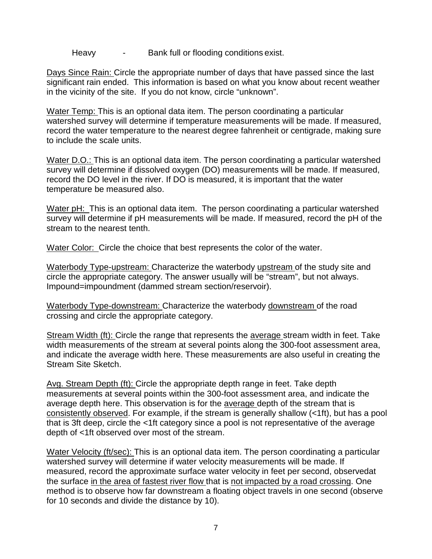Heavy - Bank full or flooding conditions exist.

Days Since Rain: Circle the appropriate number of days that have passed since the last significant rain ended. This information is based on what you know about recent weather in the vicinity of the site. If you do not know, circle "unknown".

Water Temp: This is an optional data item. The person coordinating a particular watershed survey will determine if temperature measurements will be made. If measured, record the water temperature to the nearest degree fahrenheit or centigrade, making sure to include the scale units.

Water D.O.: This is an optional data item. The person coordinating a particular watershed survey will determine if dissolved oxygen (DO) measurements will be made. If measured, record the DO level in the river. If DO is measured, it is important that the water temperature be measured also.

Water pH: This is an optional data item. The person coordinating a particular watershed survey will determine if pH measurements will be made. If measured, record the pH of the stream to the nearest tenth.

Water Color: Circle the choice that best represents the color of the water.

Waterbody Type-upstream: Characterize the waterbody upstream of the study site and circle the appropriate category. The answer usually will be "stream", but not always. Impound=impoundment (dammed stream section/reservoir).

Waterbody Type-downstream: Characterize the waterbody downstream of the road crossing and circle the appropriate category.

Stream Width (ft): Circle the range that represents the average stream width in feet. Take width measurements of the stream at several points along the 300-foot assessment area, and indicate the average width here. These measurements are also useful in creating the Stream Site Sketch.

Avg. Stream Depth (ft): Circle the appropriate depth range in feet. Take depth measurements at several points within the 300-foot assessment area, and indicate the average depth here. This observation is for the average depth of the stream that is consistently observed. For example, if the stream is generally shallow (<1ft), but has a pool that is 3ft deep, circle the <1ft category since a pool is not representative of the average depth of <1ft observed over most of the stream.

Water Velocity (ft/sec): This is an optional data item. The person coordinating a particular watershed survey will determine if water velocity measurements will be made. If measured, record the approximate surface water velocity in feet per second, observedat the surface in the area of fastest river flow that is not impacted by a road crossing. One method is to observe how far downstream a floating object travels in one second (observe for 10 seconds and divide the distance by 10).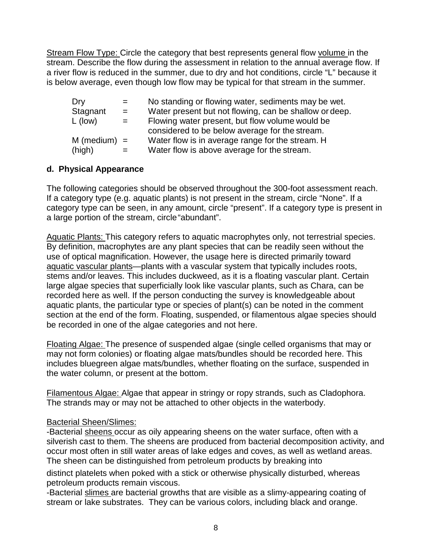Stream Flow Type: Circle the category that best represents general flow volume in the stream. Describe the flow during the assessment in relation to the annual average flow. If a river flow is reduced in the summer, due to dry and hot conditions, circle "L" because it is below average, even though low flow may be typical for that stream in the summer.

| Dry            | $=$ | No standing or flowing water, sediments may be wet.    |
|----------------|-----|--------------------------------------------------------|
| Stagnant       | $=$ | Water present but not flowing, can be shallow or deep. |
| $L$ (low)      | $=$ | Flowing water present, but flow volume would be        |
|                |     | considered to be below average for the stream.         |
| $M$ (medium) = |     | Water flow is in average range for the stream. H       |
| (high)         | =   | Water flow is above average for the stream.            |

## **d. Physical Appearance**

The following categories should be observed throughout the 300-foot assessment reach. If a category type (e.g. aquatic plants) is not present in the stream, circle "None". If a category type can be seen, in any amount, circle "present". If a category type is present in a large portion of the stream, circle"abundant".

Aquatic Plants: This category refers to aquatic macrophytes only, not terrestrial species. By definition, macrophytes are any plant species that can be readily seen without the use of optical magnification. However, the usage here is directed primarily toward aquatic vascular plants—plants with a vascular system that typically includes roots, stems and/or leaves. This includes duckweed, as it is a floating vascular plant. Certain large algae species that superficially look like vascular plants, such as Chara, can be recorded here as well. If the person conducting the survey is knowledgeable about aquatic plants, the particular type or species of plant(s) can be noted in the comment section at the end of the form. Floating, suspended, or filamentous algae species should be recorded in one of the algae categories and not here.

Floating Algae: The presence of suspended algae (single celled organisms that may or may not form colonies) or floating algae mats/bundles should be recorded here. This includes bluegreen algae mats/bundles, whether floating on the surface, suspended in the water column, or present at the bottom.

Filamentous Algae: Algae that appear in stringy or ropy strands, such as Cladophora. The strands may or may not be attached to other objects in the waterbody.

## Bacterial Sheen/Slimes:

-Bacterial sheens occur as oily appearing sheens on the water surface, often with a silverish cast to them. The sheens are produced from bacterial decomposition activity, and occur most often in still water areas of lake edges and coves, as well as wetland areas. The sheen can be distinguished from petroleum products by breaking into

distinct platelets when poked with a stick or otherwise physically disturbed, whereas petroleum products remain viscous.

-Bacterial slimes are bacterial growths that are visible as a slimy-appearing coating of stream or lake substrates. They can be various colors, including black and orange.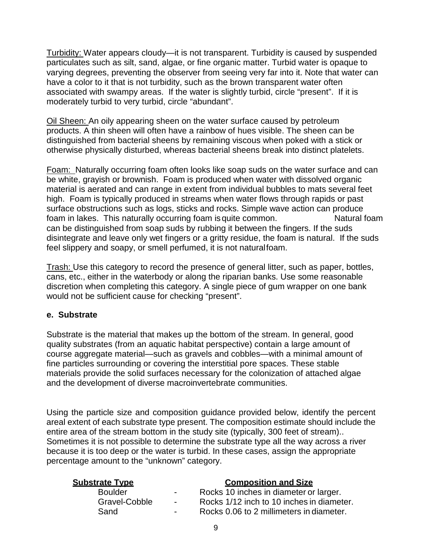Turbidity: Water appears cloudy—it is not transparent. Turbidity is caused by suspended particulates such as silt, sand, algae, or fine organic matter. Turbid water is opaque to varying degrees, preventing the observer from seeing very far into it. Note that water can have a color to it that is not turbidity, such as the brown transparent water often associated with swampy areas. If the water is slightly turbid, circle "present". If it is moderately turbid to very turbid, circle "abundant".

Oil Sheen: An oily appearing sheen on the water surface caused by petroleum products. A thin sheen will often have a rainbow of hues visible. The sheen can be distinguished from bacterial sheens by remaining viscous when poked with a stick or otherwise physically disturbed, whereas bacterial sheens break into distinct platelets.

Foam: Naturally occurring foam often looks like soap suds on the water surface and can be white, grayish or brownish. Foam is produced when water with dissolved organic material is aerated and can range in extent from individual bubbles to mats several feet high. Foam is typically produced in streams when water flows through rapids or past surface obstructions such as logs, sticks and rocks. Simple wave action can produce foam in lakes. This naturally occurring foam is quite common. Natural foam can be distinguished from soap suds by rubbing it between the fingers. If the suds disintegrate and leave only wet fingers or a gritty residue, the foam is natural. If the suds feel slippery and soapy, or smell perfumed, it is not naturalfoam.

Trash: Use this category to record the presence of general litter, such as paper, bottles, cans, etc., either in the waterbody or along the riparian banks. Use some reasonable discretion when completing this category. A single piece of gum wrapper on one bank would not be sufficient cause for checking "present".

## **e. Substrate**

Substrate is the material that makes up the bottom of the stream. In general, good quality substrates (from an aquatic habitat perspective) contain a large amount of course aggregate material—such as gravels and cobbles—with a minimal amount of fine particles surrounding or covering the interstitial pore spaces. These stable materials provide the solid surfaces necessary for the colonization of attached algae and the development of diverse macroinvertebrate communities.

Using the particle size and composition guidance provided below, identify the percent areal extent of each substrate type present. The composition estimate should include the entire area of the stream bottom in the study site (typically, 300 feet of stream).. Sometimes it is not possible to determine the substrate type all the way across a river because it is too deep or the water is turbid. In these cases, assign the appropriate percentage amount to the "unknown" category.

|        | <b>Composition and Size</b>               |  |  |
|--------|-------------------------------------------|--|--|
| $\sim$ | Rocks 10 inches in diameter or larger.    |  |  |
| $\sim$ | Rocks 1/12 inch to 10 inches in diameter. |  |  |
| $\sim$ | Rocks 0.06 to 2 millimeters in diameter.  |  |  |
|        |                                           |  |  |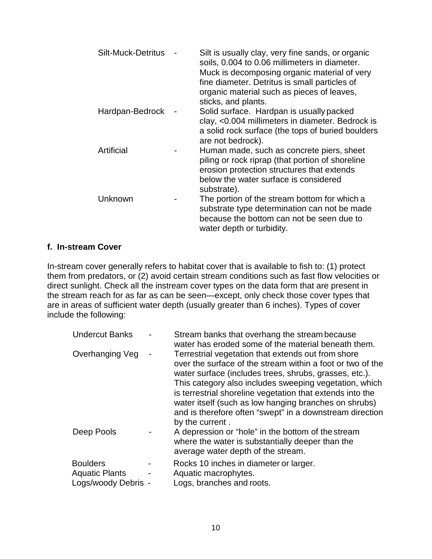| Silt-Muck-Detritus | Silt is usually clay, very fine sands, or organic<br>soils, 0.004 to 0.06 millimeters in diameter.<br>Muck is decomposing organic material of very<br>fine diameter. Detritus is small particles of<br>organic material such as pieces of leaves,<br>sticks, and plants. |
|--------------------|--------------------------------------------------------------------------------------------------------------------------------------------------------------------------------------------------------------------------------------------------------------------------|
| Hardpan-Bedrock    | Solid surface. Hardpan is usually packed<br>clay, <0.004 millimeters in diameter. Bedrock is<br>a solid rock surface (the tops of buried boulders<br>are not bedrock).                                                                                                   |
| Artificial         | Human made, such as concrete piers, sheet<br>piling or rock riprap (that portion of shoreline<br>erosion protection structures that extends<br>below the water surface is considered<br>substrate).                                                                      |
| Unknown            | The portion of the stream bottom for which a<br>substrate type determination can not be made<br>because the bottom can not be seen due to<br>water depth or turbidity.                                                                                                   |

## **f. In-stream Cover**

In-stream cover generally refers to habitat cover that is available to fish to: (1) protect them from predators, or (2) avoid certain stream conditions such as fast flow velocities or direct sunlight. Check all the instream cover types on the data form that are present in the stream reach for as far as can be seen—except, only check those cover types that are in areas of sufficient water depth (usually greater than 6 inches). Types of cover include the following:

| <b>Undercut Banks</b>                                           | Stream banks that overhang the stream because<br>water has eroded some of the material beneath them.                                                                                                                                                                                                                                                                                                                                      |
|-----------------------------------------------------------------|-------------------------------------------------------------------------------------------------------------------------------------------------------------------------------------------------------------------------------------------------------------------------------------------------------------------------------------------------------------------------------------------------------------------------------------------|
| Overhanging Veg                                                 | Terrestrial vegetation that extends out from shore<br>over the surface of the stream within a foot or two of the<br>water surface (includes trees, shrubs, grasses, etc.).<br>This category also includes sweeping vegetation, which<br>is terrestrial shoreline vegetation that extends into the<br>water itself (such as low hanging branches on shrubs)<br>and is therefore often "swept" in a downstream direction<br>by the current. |
| Deep Pools                                                      | A depression or "hole" in the bottom of the stream<br>where the water is substantially deeper than the<br>average water depth of the stream.                                                                                                                                                                                                                                                                                              |
| <b>Boulders</b><br><b>Aquatic Plants</b><br>Logs/woody Debris - | Rocks 10 inches in diameter or larger.<br>Aquatic macrophytes.<br>Logs, branches and roots.                                                                                                                                                                                                                                                                                                                                               |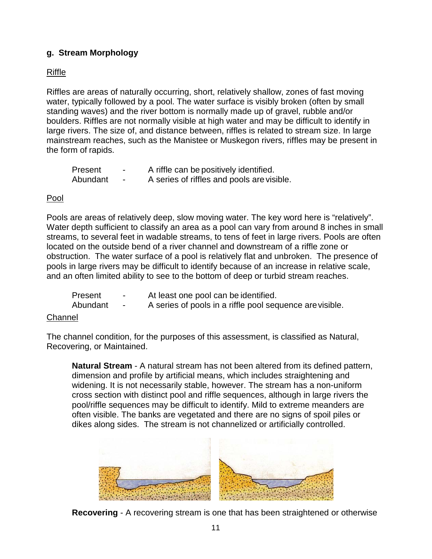## **g. Stream Morphology**

## Riffle

Riffles are areas of naturally occurring, short, relatively shallow, zones of fast moving water, typically followed by a pool. The water surface is visibly broken (often by small standing waves) and the river bottom is normally made up of gravel, rubble and/or boulders. Riffles are not normally visible at high water and may be difficult to identify in large rivers. The size of, and distance between, riffles is related to stream size. In large mainstream reaches, such as the Manistee or Muskegon rivers, riffles may be present in the form of rapids.

| Present  | $\overline{\phantom{0}}$ | A riffle can be positively identified.     |
|----------|--------------------------|--------------------------------------------|
| Abundant |                          | A series of riffles and pools are visible. |

## Pool

Pools are areas of relatively deep, slow moving water. The key word here is "relatively". Water depth sufficient to classify an area as a pool can vary from around 8 inches in small streams, to several feet in wadable streams, to tens of feet in large rivers. Pools are often located on the outside bend of a river channel and downstream of a riffle zone or obstruction. The water surface of a pool is relatively flat and unbroken. The presence of pools in large rivers may be difficult to identify because of an increase in relative scale, and an often limited ability to see to the bottom of deep or turbid stream reaches.

| Present  | ۰ | At least one pool can be identified.                     |
|----------|---|----------------------------------------------------------|
| Abundant |   | A series of pools in a riffle pool sequence are visible. |

## **Channel**

The channel condition, for the purposes of this assessment, is classified as Natural, Recovering, or Maintained.

**Natural Stream** - A natural stream has not been altered from its defined pattern, dimension and profile by artificial means, which includes straightening and widening. It is not necessarily stable, however. The stream has a non-uniform cross section with distinct pool and riffle sequences, although in large rivers the pool/riffle sequences may be difficult to identify. Mild to extreme meanders are often visible. The banks are vegetated and there are no signs of spoil piles or dikes along sides. The stream is not channelized or artificially controlled.



**Recovering** - A recovering stream is one that has been straightened or otherwise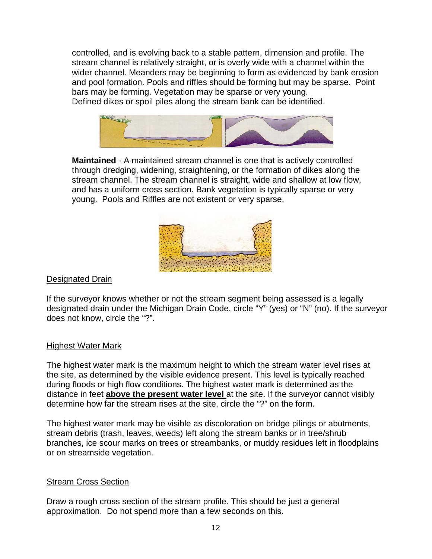controlled, and is evolving back to a stable pattern, dimension and profile. The stream channel is relatively straight, or is overly wide with a channel within the wider channel. Meanders may be beginning to form as evidenced by bank erosion and pool formation. Pools and riffles should be forming but may be sparse. Point bars may be forming. Vegetation may be sparse or very young. Defined dikes or spoil piles along the stream bank can be identified.



**Maintained** - A maintained stream channel is one that is actively controlled through dredging, widening, straightening, or the formation of dikes along the stream channel. The stream channel is straight, wide and shallow at low flow, and has a uniform cross section. Bank vegetation is typically sparse or very young. Pools and Riffles are not existent or very sparse.



## Designated Drain

If the surveyor knows whether or not the stream segment being assessed is a legally designated drain under the Michigan Drain Code, circle "Y" (yes) or "N" (no). If the surveyor does not know, circle the "?".

## Highest Water Mark

The highest water mark is the maximum height to which the stream water level rises at the site, as determined by the visible evidence present. This level is typically reached during floods or high flow conditions. The highest water mark is determined as the distance in feet **above the present water level** at the site. If the surveyor cannot visibly determine how far the stream rises at the site, circle the "?" on the form.

The highest water mark may be visible as discoloration on bridge pilings or abutments, stream debris (trash, leaves, weeds) left along the stream banks or in tree/shrub branches, ice scour marks on trees or streambanks, or muddy residues left in floodplains or on streamside vegetation.

#### Stream Cross Section

Draw a rough cross section of the stream profile. This should be just a general approximation. Do not spend more than a few seconds on this.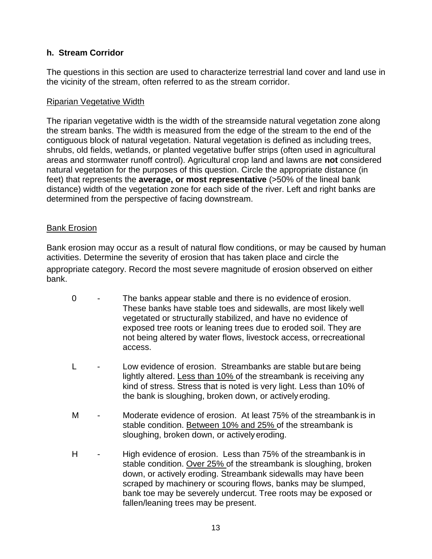## **h. Stream Corridor**

The questions in this section are used to characterize terrestrial land cover and land use in the vicinity of the stream, often referred to as the stream corridor.

## Riparian Vegetative Width

The riparian vegetative width is the width of the streamside natural vegetation zone along the stream banks. The width is measured from the edge of the stream to the end of the contiguous block of natural vegetation. Natural vegetation is defined as including trees, shrubs, old fields, wetlands, or planted vegetative buffer strips (often used in agricultural areas and stormwater runoff control). Agricultural crop land and lawns are **not** considered natural vegetation for the purposes of this question. Circle the appropriate distance (in feet) that represents the **average, or most representative** (>50% of the lineal bank distance) width of the vegetation zone for each side of the river. Left and right banks are determined from the perspective of facing downstream.

## Bank Erosion

Bank erosion may occur as a result of natural flow conditions, or may be caused by human activities. Determine the severity of erosion that has taken place and circle the appropriate category. Record the most severe magnitude of erosion observed on either bank.

- 0 The banks appear stable and there is no evidence of erosion. These banks have stable toes and sidewalls, are most likely well vegetated or structurally stabilized, and have no evidence of exposed tree roots or leaning trees due to eroded soil. They are not being altered by water flows, livestock access, orrecreational access.
- L Low evidence of erosion. Streambanks are stable but are being lightly altered. Less than 10% of the streambank is receiving any kind of stress. Stress that is noted is very light. Less than 10% of the bank is sloughing, broken down, or actively eroding.
- M Moderate evidence of erosion. At least 75% of the streambank is in stable condition. Between 10% and 25% of the streambank is sloughing, broken down, or actively eroding.
- H High evidence of erosion. Less than 75% of the streambank is in stable condition. Over 25% of the streambank is sloughing, broken down, or actively eroding. Streambank sidewalls may have been scraped by machinery or scouring flows, banks may be slumped, bank toe may be severely undercut. Tree roots may be exposed or fallen/leaning trees may be present.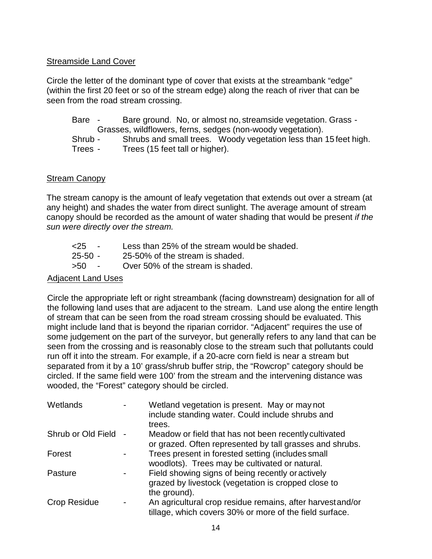## Streamside Land Cover

Circle the letter of the dominant type of cover that exists at the streambank "edge" (within the first 20 feet or so of the stream edge) along the reach of river that can be seen from the road stream crossing.

| Bare -                                  | Bare ground. No, or almost no, streamside vegetation. Grass -                                                  |
|-----------------------------------------|----------------------------------------------------------------------------------------------------------------|
|                                         | Grasses, wildflowers, ferns, sedges (non-woody vegetation).                                                    |
| $\mathsf{C}$ is the set of $\mathsf{C}$ | _OL a La casa a La casa a la casa a la casa a la casa a la casa a la casa a la casa a la casa a la casa a la c |

Shrub - Shrubs and small trees. Woody vegetation less than 15 feet high. Trees - Trees (15 feet tall or higher).

## Stream Canopy

The stream canopy is the amount of leafy vegetation that extends out over a stream (at any height) and shades the water from direct sunlight. The average amount of stream canopy should be recorded as the amount of water shading that would be present *if the sun were directly over the stream.*

- <25 Less than 25% of the stream would be shaded.
- 25-50 25-50% of the stream is shaded.
- >50 Over 50% of the stream is shaded.

## **Adjacent Land Uses**

Circle the appropriate left or right streambank (facing downstream) designation for all of the following land uses that are adjacent to the stream. Land use along the entire length of stream that can be seen from the road stream crossing should be evaluated. This might include land that is beyond the riparian corridor. "Adjacent" requires the use of some judgement on the part of the surveyor, but generally refers to any land that can be seen from the crossing and is reasonably close to the stream such that pollutants could run off it into the stream. For example, if a 20-acre corn field is near a stream but separated from it by a 10' grass/shrub buffer strip, the "Rowcrop" category should be circled. If the same field were 100' from the stream and the intervening distance was wooded, the "Forest" category should be circled.

| Wetlands            |   | Wetland vegetation is present. May or may not<br>include standing water. Could include shrubs and<br>trees.              |
|---------------------|---|--------------------------------------------------------------------------------------------------------------------------|
| Shrub or Old Field  |   | Meadow or field that has not been recently cultivated<br>or grazed. Often represented by tall grasses and shrubs.        |
| Forest              |   | Trees present in forested setting (includes small<br>woodlots). Trees may be cultivated or natural.                      |
| Pasture             |   | Field showing signs of being recently or actively<br>grazed by livestock (vegetation is cropped close to<br>the ground). |
| <b>Crop Residue</b> | - | An agricultural crop residue remains, after harvestand/or<br>tillage, which covers 30% or more of the field surface.     |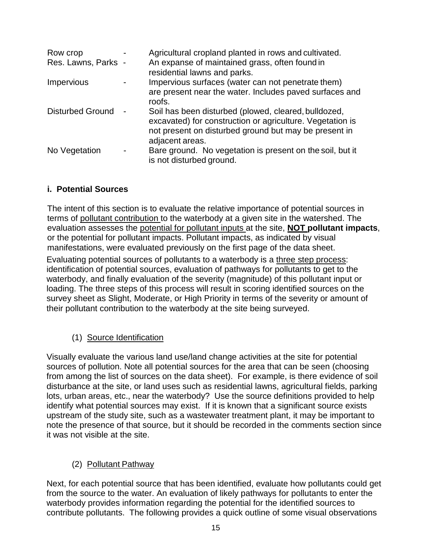| Row crop                |                | Agricultural cropland planted in rows and cultivated.                                                                                                                                         |
|-------------------------|----------------|-----------------------------------------------------------------------------------------------------------------------------------------------------------------------------------------------|
| Res. Lawns, Parks -     |                | An expanse of maintained grass, often found in<br>residential lawns and parks.                                                                                                                |
| Impervious              | -              | Impervious surfaces (water can not penetrate them)                                                                                                                                            |
|                         |                | are present near the water. Includes paved surfaces and<br>roofs.                                                                                                                             |
| <b>Disturbed Ground</b> |                | Soil has been disturbed (plowed, cleared, bulldozed,<br>excavated) for construction or agriculture. Vegetation is<br>not present on disturbed ground but may be present in<br>adjacent areas. |
| No Vegetation           | $\blacksquare$ | Bare ground. No vegetation is present on the soil, but it<br>is not disturbed ground.                                                                                                         |

## **i. Potential Sources**

The intent of this section is to evaluate the relative importance of potential sources in terms of pollutant contribution to the waterbody at a given site in the watershed. The evaluation assesses the potential for pollutant inputs at the site, **NOT pollutant impacts**, or the potential for pollutant impacts. Pollutant impacts, as indicated by visual manifestations, were evaluated previously on the first page of the data sheet.

Evaluating potential sources of pollutants to a waterbody is a three step process: identification of potential sources, evaluation of pathways for pollutants to get to the waterbody, and finally evaluation of the severity (magnitude) of this pollutant input or loading. The three steps of this process will result in scoring identified sources on the survey sheet as Slight, Moderate, or High Priority in terms of the severity or amount of their pollutant contribution to the waterbody at the site being surveyed.

(1) Source Identification

Visually evaluate the various land use/land change activities at the site for potential sources of pollution. Note all potential sources for the area that can be seen (choosing from among the list of sources on the data sheet). For example, is there evidence of soil disturbance at the site, or land uses such as residential lawns, agricultural fields, parking lots, urban areas, etc., near the waterbody? Use the source definitions provided to help identify what potential sources may exist. If it is known that a significant source exists upstream of the study site, such as a wastewater treatment plant, it may be important to note the presence of that source, but it should be recorded in the comments section since it was not visible at the site.

## (2) Pollutant Pathway

Next, for each potential source that has been identified, evaluate how pollutants could get from the source to the water. An evaluation of likely pathways for pollutants to enter the waterbody provides information regarding the potential for the identified sources to contribute pollutants. The following provides a quick outline of some visual observations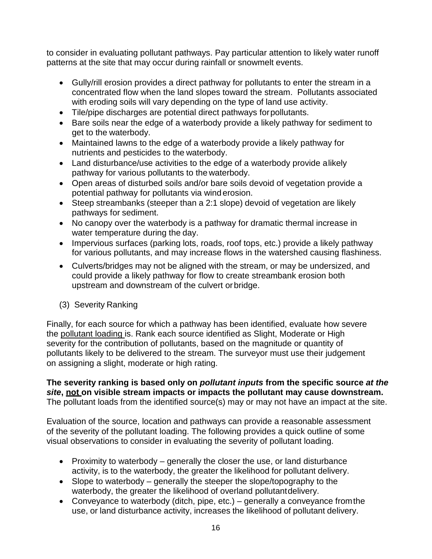to consider in evaluating pollutant pathways. Pay particular attention to likely water runoff patterns at the site that may occur during rainfall or snowmelt events.

- Gully/rill erosion provides a direct pathway for pollutants to enter the stream in a concentrated flow when the land slopes toward the stream. Pollutants associated with eroding soils will vary depending on the type of land use activity.
- Tile/pipe discharges are potential direct pathways forpollutants.
- Bare soils near the edge of a waterbody provide a likely pathway for sediment to get to the waterbody.
- Maintained lawns to the edge of a waterbody provide a likely pathway for nutrients and pesticides to the waterbody.
- Land disturbance/use activities to the edge of a waterbody provide alikely pathway for various pollutants to the waterbody.
- Open areas of disturbed soils and/or bare soils devoid of vegetation provide a potential pathway for pollutants via wind erosion.
- Steep streambanks (steeper than a 2:1 slope) devoid of vegetation are likely pathways for sediment.
- No canopy over the waterbody is a pathway for dramatic thermal increase in water temperature during the day.
- Impervious surfaces (parking lots, roads, roof tops, etc.) provide a likely pathway for various pollutants, and may increase flows in the watershed causing flashiness.
- Culverts/bridges may not be aligned with the stream, or may be undersized, and could provide a likely pathway for flow to create streambank erosion both upstream and downstream of the culvert orbridge.
- (3) Severity Ranking

Finally, for each source for which a pathway has been identified, evaluate how severe the pollutant loading is. Rank each source identified as Slight, Moderate or High severity for the contribution of pollutants, based on the magnitude or quantity of pollutants likely to be delivered to the stream. The surveyor must use their judgement on assigning a slight, moderate or high rating.

**The severity ranking is based only on** *pollutant inputs* **from the specific source** *at the site***, not on visible stream impacts or impacts the pollutant may cause downstream.**  The pollutant loads from the identified source(s) may or may not have an impact at the site.

Evaluation of the source, location and pathways can provide a reasonable assessment of the severity of the pollutant loading. The following provides a quick outline of some visual observations to consider in evaluating the severity of pollutant loading.

- Proximity to waterbody generally the closer the use, or land disturbance activity, is to the waterbody, the greater the likelihood for pollutant delivery.
- Slope to waterbody generally the steeper the slope/topography to the waterbody, the greater the likelihood of overland pollutantdelivery.
- Conveyance to waterbody (ditch, pipe, etc.) generally a conveyance fromthe use, or land disturbance activity, increases the likelihood of pollutant delivery.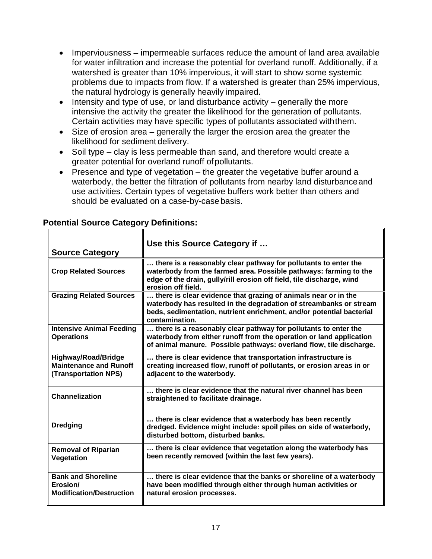- Imperviousness impermeable surfaces reduce the amount of land area available for water infiltration and increase the potential for overland runoff. Additionally, if a watershed is greater than 10% impervious, it will start to show some systemic problems due to impacts from flow. If a watershed is greater than 25% impervious, the natural hydrology is generally heavily impaired.
- Intensity and type of use, or land disturbance activity generally the more intensive the activity the greater the likelihood for the generation of pollutants. Certain activities may have specific types of pollutants associated withthem.
- Size of erosion area generally the larger the erosion area the greater the likelihood for sediment delivery.
- Soil type clay is less permeable than sand, and therefore would create a greater potential for overland runoff of pollutants.
- Presence and type of vegetation the greater the vegetative buffer around a waterbody, the better the filtration of pollutants from nearby land disturbanceand use activities. Certain types of vegetative buffers work better than others and should be evaluated on a case-by-case basis.

| <b>Source Category</b>                                                              | Use this Source Category if                                                                                                                                                                                                         |
|-------------------------------------------------------------------------------------|-------------------------------------------------------------------------------------------------------------------------------------------------------------------------------------------------------------------------------------|
| <b>Crop Related Sources</b>                                                         | there is a reasonably clear pathway for pollutants to enter the<br>waterbody from the farmed area. Possible pathways: farming to the<br>edge of the drain, gully/rill erosion off field, tile discharge, wind<br>erosion off field. |
| <b>Grazing Related Sources</b>                                                      | there is clear evidence that grazing of animals near or in the<br>waterbody has resulted in the degradation of streambanks or stream<br>beds, sedimentation, nutrient enrichment, and/or potential bacterial<br>contamination.      |
| <b>Intensive Animal Feeding</b><br><b>Operations</b>                                | there is a reasonably clear pathway for pollutants to enter the<br>waterbody from either runoff from the operation or land application<br>of animal manure. Possible pathways: overland flow, tile discharge.                       |
| <b>Highway/Road/Bridge</b><br><b>Maintenance and Runoff</b><br>(Transportation NPS) | there is clear evidence that transportation infrastructure is<br>creating increased flow, runoff of pollutants, or erosion areas in or<br>adjacent to the waterbody.                                                                |
| <b>Channelization</b>                                                               | there is clear evidence that the natural river channel has been<br>straightened to facilitate drainage.                                                                                                                             |
| <b>Dredging</b>                                                                     | there is clear evidence that a waterbody has been recently<br>dredged. Evidence might include: spoil piles on side of waterbody,<br>disturbed bottom, disturbed banks.                                                              |
| <b>Removal of Riparian</b><br>Vegetation                                            | there is clear evidence that vegetation along the waterbody has<br>been recently removed (within the last few years).                                                                                                               |
| <b>Bank and Shoreline</b><br>Erosion/<br><b>Modification/Destruction</b>            | there is clear evidence that the banks or shoreline of a waterbody<br>have been modified through either through human activities or<br>natural erosion processes.                                                                   |

## **Potential Source Category Definitions:**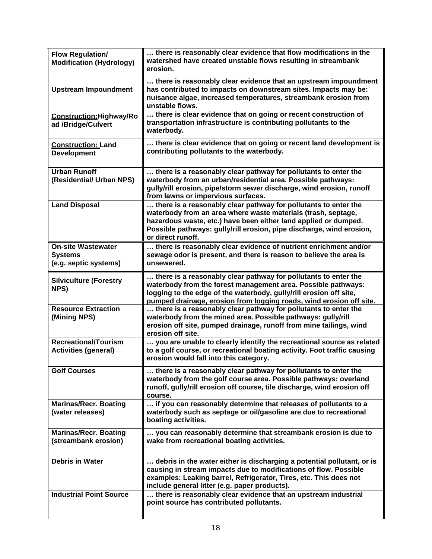| <b>Flow Regulation/</b><br><b>Modification (Hydrology)</b>           | there is reasonably clear evidence that flow modifications in the<br>watershed have created unstable flows resulting in streambank<br>erosion.                                                                                                                                                   |
|----------------------------------------------------------------------|--------------------------------------------------------------------------------------------------------------------------------------------------------------------------------------------------------------------------------------------------------------------------------------------------|
| <b>Upstream Impoundment</b>                                          | there is reasonably clear evidence that an upstream impoundment<br>has contributed to impacts on downstream sites. Impacts may be:<br>nuisance algae, increased temperatures, streambank erosion from<br>unstable flows.                                                                         |
| Construction: Highway/Ro<br>ad /Bridge/Culvert                       | there is clear evidence that on going or recent construction of<br>transportation infrastructure is contributing pollutants to the<br>waterbody.                                                                                                                                                 |
| <b>Construction: Land</b><br><b>Development</b>                      | there is clear evidence that on going or recent land development is<br>contributing pollutants to the waterbody.                                                                                                                                                                                 |
| <b>Urban Runoff</b><br>(Residential/ Urban NPS)                      | there is a reasonably clear pathway for pollutants to enter the<br>waterbody from an urban/residential area. Possible pathways:<br>gully/rill erosion, pipe/storm sewer discharge, wind erosion, runoff<br>from lawns or impervious surfaces.                                                    |
| <b>Land Disposal</b>                                                 | there is a reasonably clear pathway for pollutants to enter the<br>waterbody from an area where waste materials (trash, septage,<br>hazardous waste, etc.) have been either land applied or dumped.<br>Possible pathways: gully/rill erosion, pipe discharge, wind erosion,<br>or direct runoff. |
| <b>On-site Wastewater</b><br><b>Systems</b><br>(e.g. septic systems) | there is reasonably clear evidence of nutrient enrichment and/or<br>sewage odor is present, and there is reason to believe the area is<br>unsewered.                                                                                                                                             |
| <b>Silviculture (Forestry</b><br>NPS)                                | there is a reasonably clear pathway for pollutants to enter the<br>waterbody from the forest management area. Possible pathways:<br>logging to the edge of the waterbody, gully/rill erosion off site,<br>pumped drainage, erosion from logging roads, wind erosion off site.                    |
| <b>Resource Extraction</b><br>(Mining NPS)                           | there is a reasonably clear pathway for pollutants to enter the<br>waterbody from the mined area. Possible pathways: gully/rill<br>erosion off site, pumped drainage, runoff from mine tailings, wind<br>erosion off site.                                                                       |
| <b>Recreational/Tourism</b><br><b>Activities (general)</b>           | you are unable to clearly identify the recreational source as related<br>to a golf course, or recreational boating activity. Foot traffic causing<br>erosion would fall into this category.                                                                                                      |
| <b>Golf Courses</b>                                                  | there is a reasonably clear pathway for pollutants to enter the<br>waterbody from the golf course area. Possible pathways: overland<br>runoff, gully/rill erosion off course, tile discharge, wind erosion off<br>course.                                                                        |
| <b>Marinas/Recr. Boating</b><br>(water releases)                     | if you can reasonably determine that releases of pollutants to a<br>waterbody such as septage or oil/gasoline are due to recreational<br>boating activities.                                                                                                                                     |
| <b>Marinas/Recr. Boating</b><br>(streambank erosion)                 | you can reasonably determine that streambank erosion is due to<br>wake from recreational boating activities.                                                                                                                                                                                     |
| <b>Debris in Water</b>                                               | debris in the water either is discharging a potential pollutant, or is<br>causing in stream impacts due to modifications of flow. Possible<br>examples: Leaking barrel, Refrigerator, Tires, etc. This does not<br>include general litter (e.g. paper products).                                 |
| <b>Industrial Point Source</b>                                       | there is reasonably clear evidence that an upstream industrial<br>point source has contributed pollutants.                                                                                                                                                                                       |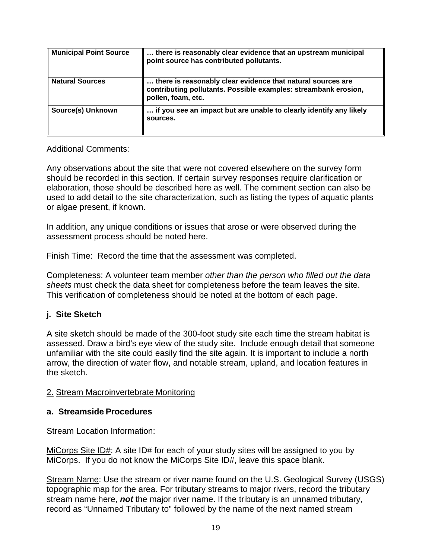| <b>Municipal Point Source</b> | there is reasonably clear evidence that an upstream municipal<br>point source has contributed pollutants.                                            |
|-------------------------------|------------------------------------------------------------------------------------------------------------------------------------------------------|
| <b>Natural Sources</b>        | there is reasonably clear evidence that natural sources are<br>contributing pollutants. Possible examples: streambank erosion,<br>pollen, foam, etc. |
| Source(s) Unknown             | if you see an impact but are unable to clearly identify any likely<br>sources.                                                                       |

## Additional Comments:

Any observations about the site that were not covered elsewhere on the survey form should be recorded in this section. If certain survey responses require clarification or elaboration, those should be described here as well. The comment section can also be used to add detail to the site characterization, such as listing the types of aquatic plants or algae present, if known.

In addition, any unique conditions or issues that arose or were observed during the assessment process should be noted here.

Finish Time: Record the time that the assessment was completed.

Completeness: A volunteer team member *other than the person who filled out the data sheets* must check the data sheet for completeness before the team leaves the site. This verification of completeness should be noted at the bottom of each page.

## **j. Site Sketch**

A site sketch should be made of the 300-foot study site each time the stream habitat is assessed. Draw a bird's eye view of the study site. Include enough detail that someone unfamiliar with the site could easily find the site again. It is important to include a north arrow, the direction of water flow, and notable stream, upland, and location features in the sketch.

## 2. Stream Macroinvertebrate Monitoring

## **a. Streamside Procedures**

## Stream Location Information:

MiCorps Site ID#: A site ID# for each of your study sites will be assigned to you by MiCorps. If you do not know the MiCorps Site ID#, leave this space blank.

Stream Name: Use the stream or river name found on the U.S. Geological Survey (USGS) topographic map for the area. For tributary streams to major rivers, record the tributary stream name here, *not* the major river name. If the tributary is an unnamed tributary, record as "Unnamed Tributary to" followed by the name of the next named stream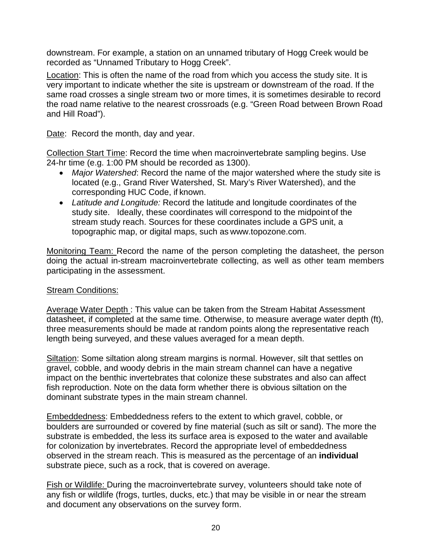downstream. For example, a station on an unnamed tributary of Hogg Creek would be recorded as "Unnamed Tributary to Hogg Creek".

Location: This is often the name of the road from which you access the study site. It is very important to indicate whether the site is upstream or downstream of the road. If the same road crosses a single stream two or more times, it is sometimes desirable to record the road name relative to the nearest crossroads (e.g. "Green Road between Brown Road and Hill Road").

Date: Record the month, day and year.

Collection Start Time: Record the time when macroinvertebrate sampling begins. Use 24-hr time (e.g. 1:00 PM should be recorded as 1300).

- *Major Watershed*: Record the name of the major watershed where the study site is located (e.g., Grand River Watershed, St. Mary's River Watershed), and the corresponding HUC Code, if known.
- *Latitude and Longitude:* Record the latitude and longitude coordinates of the study site. Ideally, these coordinates will correspond to the midpoint of the stream study reach. Sources for these coordinates include a GPS unit, a topographic map, or digital maps, such as [www.topozone.com.](http://www.topozone.com/)

Monitoring Team: Record the name of the person completing the datasheet, the person doing the actual in-stream macroinvertebrate collecting, as well as other team members participating in the assessment.

## Stream Conditions:

Average Water Depth : This value can be taken from the Stream Habitat Assessment datasheet, if completed at the same time. Otherwise, to measure average water depth (ft), three measurements should be made at random points along the representative reach length being surveyed, and these values averaged for a mean depth.

Siltation: Some siltation along stream margins is normal. However, silt that settles on gravel, cobble, and woody debris in the main stream channel can have a negative impact on the benthic invertebrates that colonize these substrates and also can affect fish reproduction. Note on the data form whether there is obvious siltation on the dominant substrate types in the main stream channel.

Embeddedness: Embeddedness refers to the extent to which gravel, cobble, or boulders are surrounded or covered by fine material (such as silt or sand). The more the substrate is embedded, the less its surface area is exposed to the water and available for colonization by invertebrates. Record the appropriate level of embeddedness observed in the stream reach. This is measured as the percentage of an **individual**  substrate piece, such as a rock, that is covered on average.

Fish or Wildlife: During the macroinvertebrate survey, volunteers should take note of any fish or wildlife (frogs, turtles, ducks, etc.) that may be visible in or near the stream and document any observations on the survey form.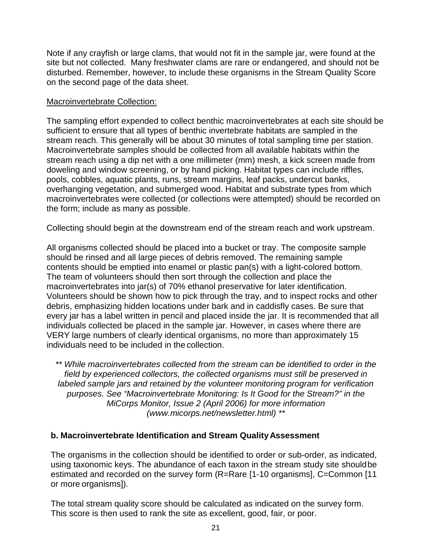Note if any crayfish or large clams, that would not fit in the sample jar, were found at the site but not collected. Many freshwater clams are rare or endangered, and should not be disturbed. Remember, however, to include these organisms in the Stream Quality Score on the second page of the data sheet.

## Macroinvertebrate Collection:

The sampling effort expended to collect benthic macroinvertebrates at each site should be sufficient to ensure that all types of benthic invertebrate habitats are sampled in the stream reach. This generally will be about 30 minutes of total sampling time per station. Macroinvertebrate samples should be collected from all available habitats within the stream reach using a dip net with a one millimeter (mm) mesh, a kick screen made from doweling and window screening, or by hand picking. Habitat types can include riffles, pools, cobbles, aquatic plants, runs, stream margins, leaf packs, undercut banks, overhanging vegetation, and submerged wood. Habitat and substrate types from which macroinvertebrates were collected (or collections were attempted) should be recorded on the form; include as many as possible.

Collecting should begin at the downstream end of the stream reach and work upstream.

All organisms collected should be placed into a bucket or tray. The composite sample should be rinsed and all large pieces of debris removed. The remaining sample contents should be emptied into enamel or plastic pan(s) with a light-colored bottom. The team of volunteers should then sort through the collection and place the macroinvertebrates into jar(s) of 70% ethanol preservative for later identification. Volunteers should be shown how to pick through the tray, and to inspect rocks and other debris, emphasizing hidden locations under bark and in caddisfly cases. Be sure that every jar has a label written in pencil and placed inside the jar. It is recommended that all individuals collected be placed in the sample jar. However, in cases where there are VERY large numbers of clearly identical organisms, no more than approximately 15 individuals need to be included in the collection.

*\*\* While macroinvertebrates collected from the stream can be identified to order in the*  field by experienced collectors, the collected organisms must still be preserved in *labeled sample jars and retained by the volunteer monitoring program for verification purposes. See "Macroinvertebrate Monitoring: Is It Good for the Stream?" in the MiCorps Monitor, Issue 2 (April 2006) for more information [\(www.micorps.net/newsletter.html\) \\*](http://www.micorps.net/newsletter.html))\**

## **b. Macroinvertebrate Identification and Stream QualityAssessment**

The organisms in the collection should be identified to order or sub-order, as indicated, using taxonomic keys. The abundance of each taxon in the stream study site shouldbe estimated and recorded on the survey form (R=Rare [1-10 organisms], C=Common [11 or more organisms]).

The total stream quality score should be calculated as indicated on the survey form. This score is then used to rank the site as excellent, good, fair, or poor.